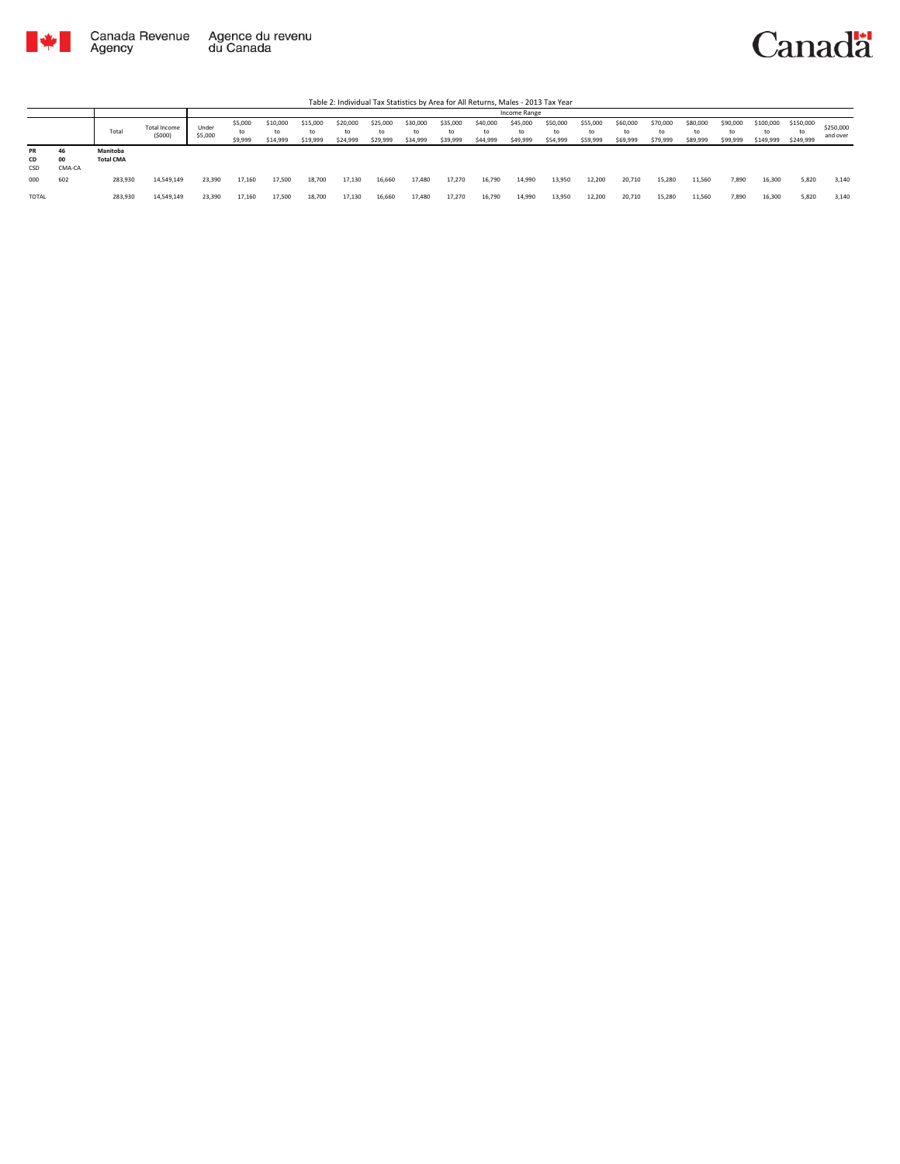



|                 |                    |                              |                               |                  |                          |                            |                      |                            |                            |                            |                            |                            | Income Range               |                            |                            |                            |                                      |                            |                            |                              |                              |                       |
|-----------------|--------------------|------------------------------|-------------------------------|------------------|--------------------------|----------------------------|----------------------|----------------------------|----------------------------|----------------------------|----------------------------|----------------------------|----------------------------|----------------------------|----------------------------|----------------------------|--------------------------------------|----------------------------|----------------------------|------------------------------|------------------------------|-----------------------|
|                 |                    | Total                        | <b>Total Income</b><br>(5000) | Under<br>\$5,000 | \$5,000<br>to<br>\$9,999 | \$10,000<br>to<br>\$14,999 | \$15,000<br>\$19,999 | \$20,000<br>to<br>\$24,999 | \$25,000<br>to<br>\$29,999 | \$30,000<br>to<br>\$34,999 | \$35,000<br>to<br>\$39,999 | \$40,000<br>to<br>\$44,999 | \$45,000<br>to<br>\$49,999 | \$50,000<br>to<br>\$54,999 | \$55,000<br>to<br>\$59,999 | \$60,000<br>to<br>\$69,999 | \$70,000<br>$\mathbf{t}$<br>\$79,999 | \$80,000<br>to<br>\$89,999 | \$90,000<br>to<br>\$99,999 | \$100,000<br>to<br>\$149,999 | \$150,000<br>to<br>\$249,999 | \$250,000<br>and over |
| PR<br>CD<br>CSD | 46<br>00<br>CMA-CA | Manitoba<br><b>Total CMA</b> |                               |                  |                          |                            |                      |                            |                            |                            |                            |                            |                            |                            |                            |                            |                                      |                            |                            |                              |                              |                       |
| 000             | 602                | 283,930                      | 14,549,149                    | 23,390           | 17,160                   | 17,500                     | 18,700               | 17,130                     | 16,660                     | 17,480                     | 17,270                     | 16,790                     | 14,990                     | 13,950                     | 12,200                     | 20,710                     | 15,280                               | 11,560                     | 7,890                      | 16,300                       | 5,820                        | 3,140                 |
| TOTAL           |                    | 283,930                      | 14,549,149                    | 23,390           | 17,160                   | 17,500                     | 18,700               | 17,130                     | 16,660                     | 17,480                     | 17,270                     | 16,790                     | 14,990                     | 13,950                     | 12,200                     | 20,710                     | 15,280                               | 11.560                     | 7.890                      | 16,300                       | 5,820                        | 3.140                 |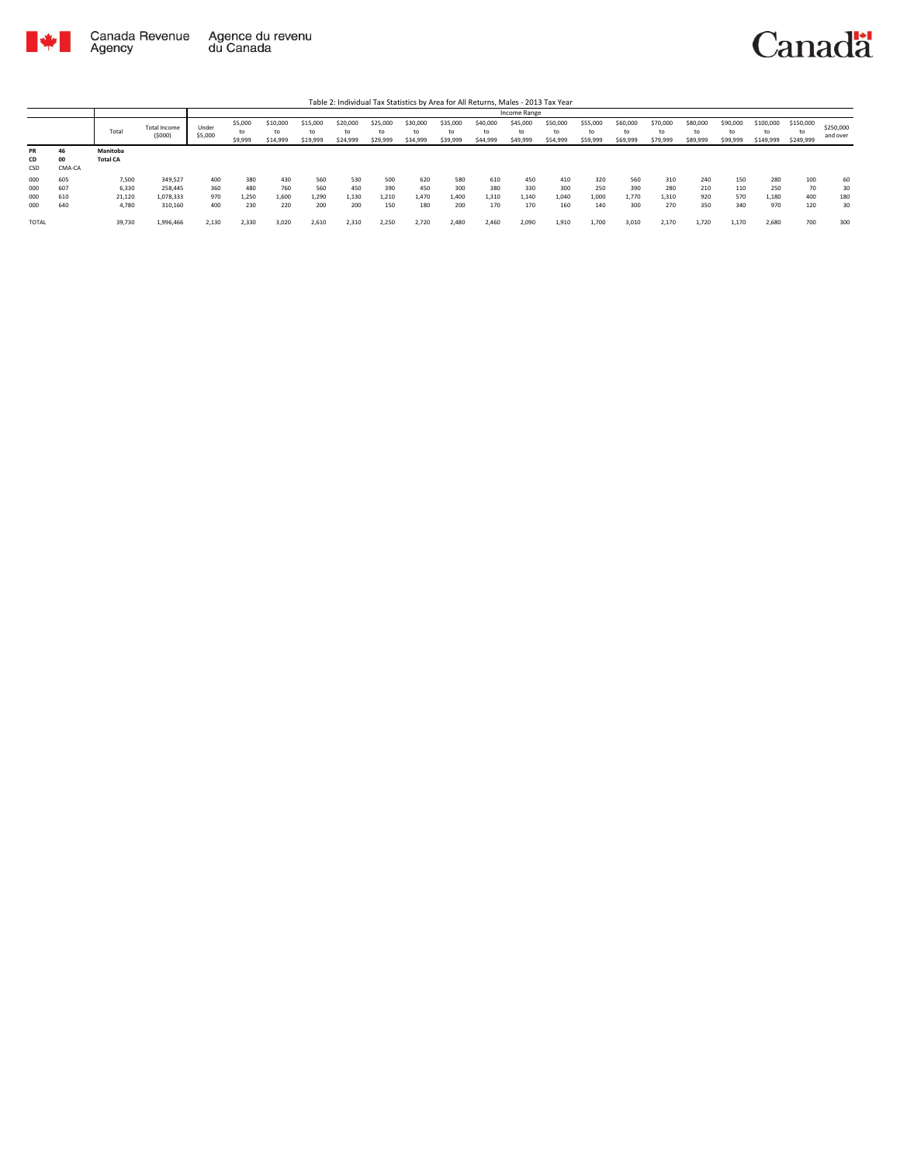

|           |        |                 |                        |                  |                          |                            |                            |                            |                            |                            |                            |                            | Income Range               |                            |                            |                            |                            |                            |                            |                              |                        |                       |
|-----------|--------|-----------------|------------------------|------------------|--------------------------|----------------------------|----------------------------|----------------------------|----------------------------|----------------------------|----------------------------|----------------------------|----------------------------|----------------------------|----------------------------|----------------------------|----------------------------|----------------------------|----------------------------|------------------------------|------------------------|-----------------------|
|           |        | Total           | Total Income<br>(5000) | Under<br>\$5,000 | \$5,000<br>to<br>\$9,999 | \$10,000<br>to<br>\$14,999 | \$15,000<br>to<br>\$19,999 | \$20,000<br>to<br>\$24,999 | \$25,000<br>to<br>\$29,999 | \$30,000<br>to<br>\$34,999 | \$35,000<br>to<br>\$39,999 | \$40,000<br>to<br>\$44,999 | \$45,000<br>to<br>\$49,999 | \$50,000<br>to<br>\$54,999 | \$55,000<br>to<br>\$59,999 | \$60,000<br>to<br>\$69,999 | \$70,000<br>to<br>\$79,999 | \$80,000<br>to<br>\$89,999 | \$90,000<br>to<br>\$99,999 | \$100,000<br>to<br>\$149,999 | \$150,000<br>\$249,999 | \$250,000<br>and over |
| <b>PR</b> | 46     | Manitoba        |                        |                  |                          |                            |                            |                            |                            |                            |                            |                            |                            |                            |                            |                            |                            |                            |                            |                              |                        |                       |
| CD        | 00     | <b>Total CA</b> |                        |                  |                          |                            |                            |                            |                            |                            |                            |                            |                            |                            |                            |                            |                            |                            |                            |                              |                        |                       |
| CSD       | CMA-CA |                 |                        |                  |                          |                            |                            |                            |                            |                            |                            |                            |                            |                            |                            |                            |                            |                            |                            |                              |                        |                       |
| 000       | 605    | 7,500           | 349,527                | 400              | 380                      | 430                        | 560                        | 530                        | 500                        | 620                        | 580                        | 610                        | 450                        | 410                        | 320                        | 560                        | 310                        | 240                        | 150                        | 280                          | 100                    | 60                    |
| 000       | 607    | 6,330           | 258,445                | 360              | 480                      | 760                        | 560                        | 450                        | 390                        | 450                        | 300                        | 380                        | 330                        | 300                        | 250                        | 390                        | 280                        | 210                        | 110                        | 250                          | 70                     | 30                    |
| 000       | 610    | 21,120          | 1,078,333              | 970              | 1.250                    | 1,600                      | 1,290                      | 1.130                      | 1,210                      | 1.470                      | 1.400                      | 1,310                      | 1.140                      | 1,040                      | 1.000                      | 1.770                      | 1,310                      | 920                        | 570                        | 1.180                        | 400                    | 180                   |
| 000       | 640    | 4,780           | 310,160                | 400              | 230                      | 220                        | 200                        | 200                        | 150                        | 180                        | 200                        | 170                        | 170                        | 160                        | 140                        | 300                        | 270                        | 350                        | 340                        | 970                          | 120                    | 30                    |
| TOTAL     |        | 39,730          | 1,996,466              | 2.130            | 2.330                    | 3.020                      | 2.610                      | 2.310                      | 2,250                      | 2.720                      | 2.480                      | 2,460                      | 2,090                      | 1,910                      | 1.700                      | 3,010                      | 2.170                      | 1.720                      | 1,170                      | 2.680                        | 700                    | 300                   |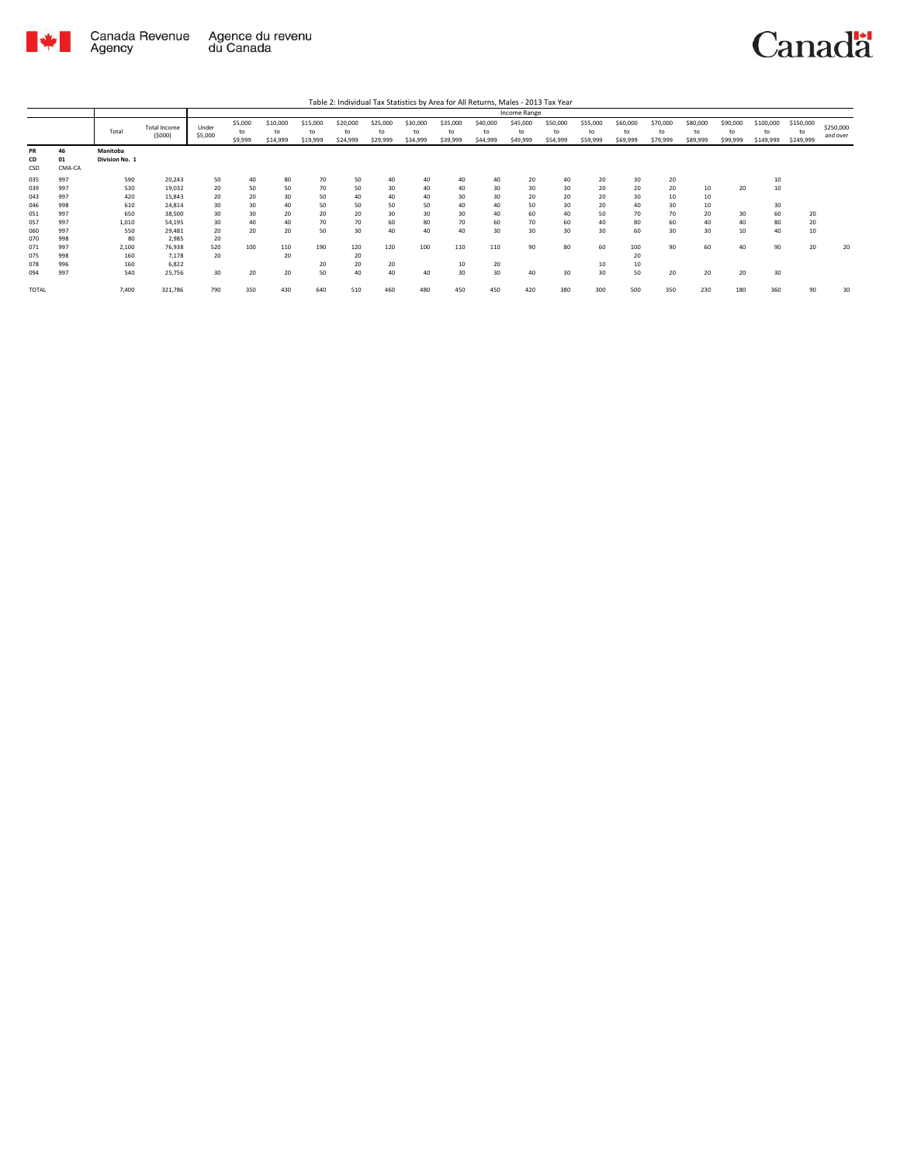

|                        |                    |                            |                               |                  |                          |                            |                            |                            |                            |                            |                            |                            | Income Range               |                            |                            |                            |                            |                            |                            |                              |                              |                       |
|------------------------|--------------------|----------------------------|-------------------------------|------------------|--------------------------|----------------------------|----------------------------|----------------------------|----------------------------|----------------------------|----------------------------|----------------------------|----------------------------|----------------------------|----------------------------|----------------------------|----------------------------|----------------------------|----------------------------|------------------------------|------------------------------|-----------------------|
|                        |                    | Total                      | <b>Total Income</b><br>(5000) | Under<br>\$5,000 | \$5,000<br>to<br>\$9,999 | \$10,000<br>to<br>\$14,999 | \$15,000<br>to<br>\$19,999 | \$20,000<br>to<br>\$24,999 | \$25,000<br>to<br>\$29,999 | \$30,000<br>to<br>\$34,999 | \$35,000<br>to<br>\$39,999 | \$40,000<br>to<br>\$44,999 | \$45,000<br>to<br>\$49,999 | \$50,000<br>to<br>\$54,999 | \$55,000<br>to<br>\$59,999 | \$60,000<br>to<br>\$69,999 | \$70,000<br>to<br>\$79,999 | \$80,000<br>to<br>\$89,999 | \$90,000<br>to<br>\$99,999 | \$100,000<br>to<br>\$149,999 | \$150,000<br>to<br>\$249,999 | \$250,000<br>and over |
| <b>PR</b><br>CD<br>CSD | 46<br>01<br>CMA-CA | Manitoba<br>Division No. 1 |                               |                  |                          |                            |                            |                            |                            |                            |                            |                            |                            |                            |                            |                            |                            |                            |                            |                              |                              |                       |
| 035                    | 997                | 590                        | 20,243                        | 50               | 40                       | 80                         | 70                         | 50                         | 40                         | 40                         | 40                         | 40                         | 20                         | 40                         | 20                         | 30                         | 20                         |                            |                            | 10                           |                              |                       |
| 039                    | 997                | 530                        | 19,032                        | 20               | 50                       | 50                         | 70                         | 50                         | 30                         | 40                         | 40                         | 30                         | 30                         | 30                         | 20                         | 20                         | 20                         | 10                         | 20                         | 10                           |                              |                       |
| 043                    | 997                | 420                        | 15,843                        | 20               | 20                       | 30                         | 50                         | 40                         | 40                         | 40                         | 30                         | 30                         | 20                         | 20                         | 20                         | 30                         | 10                         | 10                         |                            |                              |                              |                       |
| 046                    | 998                | 610                        | 24,814                        | 30               | 30                       | 40                         | 50                         | 50                         | 50                         | 50                         | 40                         | 40                         | 50                         | 30                         | 20                         | 40                         | 30                         | 10                         |                            | 30                           |                              |                       |
| 051                    | 997                | 650                        | 38,500                        | 30               | 30                       | 20                         | 20                         | 20                         | 30                         | 30                         | 30                         | 40                         | 60                         | 40                         | 50                         | 70                         | 70                         | 20                         | 30                         | 60                           | 20                           |                       |
| 057                    | 997                | 1,010                      | 54,195                        | 30               | 40                       | 40                         | 70                         | 70                         | 60                         | 80                         | 70                         | 60                         | 70                         | 60                         | 40                         | 80                         | 60                         | 40                         | 40                         | 80                           | 20                           |                       |
| 060                    | 997                | 550                        | 29,481                        | 20               | 20                       | 20                         | 50                         | 30                         | 40                         | 40                         | 40                         | 30                         | 30                         | 30                         | 30                         | 60                         | 30                         | 30                         | 10                         | 40                           | 10                           |                       |
| 070                    | 998                | 80                         | 2,985                         | 20               |                          |                            |                            |                            |                            |                            |                            |                            |                            |                            |                            |                            |                            |                            |                            |                              |                              |                       |
| 071                    | 997                | 2,100                      | 76,938                        | 520              | 100                      | 110                        | 190                        | 120                        | 120                        | 100                        | 110                        | 110                        | 90                         | 80                         | 60                         | 100                        | 90                         | 60                         | 40                         | 90                           | 20                           | 20                    |
| 075                    | 998                | 160                        | 7,178                         | 20               |                          | 20                         |                            | 20                         |                            |                            |                            |                            |                            |                            |                            | 20                         |                            |                            |                            |                              |                              |                       |
| 078                    | 996                | 160                        | 6.822                         |                  |                          |                            | 20                         | 20                         | 20                         |                            | 10                         | 20                         |                            |                            | 10                         | 10                         |                            |                            |                            |                              |                              |                       |
| 094                    | 997                | 540                        | 25,756                        | 30               | 20                       | 20                         | 50                         | 40                         | 40                         | 40                         | 30                         | 30                         | 40                         | 30                         | 30                         | 50                         | 20                         | 20                         | 20                         | 30                           |                              |                       |
| <b>TOTAL</b>           |                    | 7,400                      | 321,786                       | 790              | 350                      | 430                        | 640                        | 510                        | 460                        | 480                        | 450                        | 450                        | 420                        | 380                        | 300                        | 500                        | 350                        | 230                        | 180                        | 360                          | 90                           | 30                    |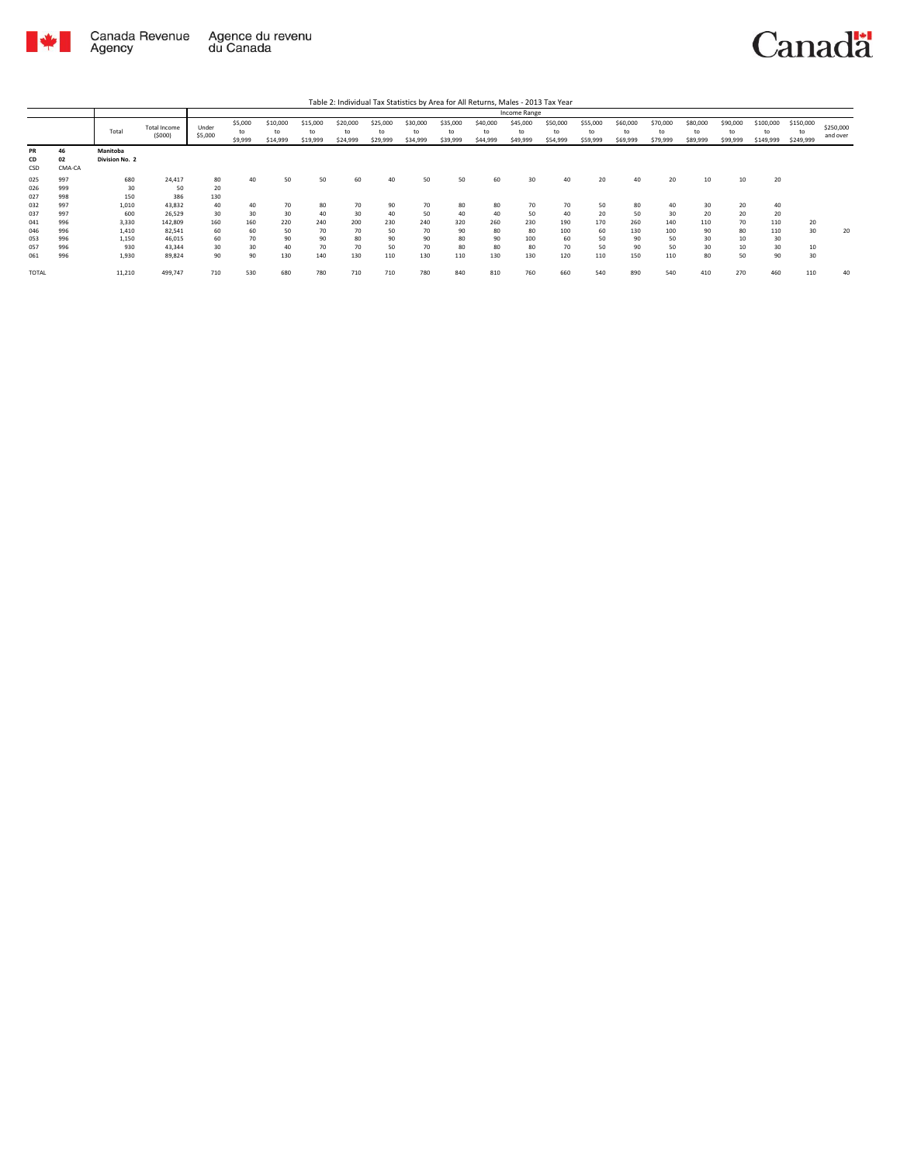

|  | Table 2: Individual Tax Statistics by Area for All Returns, Males - 2013 Tax Year |
|--|-----------------------------------------------------------------------------------|
|  |                                                                                   |

|                 |                    |                            |                               |                  |                          |                            |                            |                            |                            |                            |                            |                            | Income Range               |                            |                            |                            |                            |                            |                            |                              |                              |                       |
|-----------------|--------------------|----------------------------|-------------------------------|------------------|--------------------------|----------------------------|----------------------------|----------------------------|----------------------------|----------------------------|----------------------------|----------------------------|----------------------------|----------------------------|----------------------------|----------------------------|----------------------------|----------------------------|----------------------------|------------------------------|------------------------------|-----------------------|
|                 |                    | Total                      | <b>Total Income</b><br>(5000) | Under<br>\$5,000 | \$5,000<br>to<br>\$9,999 | \$10,000<br>to<br>\$14,999 | \$15,000<br>to<br>\$19,999 | \$20,000<br>to<br>\$24,999 | \$25,000<br>to<br>\$29,999 | \$30,000<br>to<br>\$34,999 | \$35,000<br>to<br>\$39,999 | \$40,000<br>to<br>\$44,999 | \$45,000<br>to<br>\$49,999 | \$50,000<br>to<br>\$54,999 | \$55,000<br>to<br>\$59,999 | \$60,000<br>to<br>\$69,999 | \$70,000<br>to<br>\$79,999 | \$80,000<br>to<br>\$89,999 | \$90,000<br>to<br>\$99,999 | \$100,000<br>to<br>\$149,999 | \$150,000<br>to<br>\$249,999 | \$250,000<br>and over |
| PR<br>CD<br>CSD | 46<br>02<br>CMA-CA | Manitoba<br>Division No. 2 |                               |                  |                          |                            |                            |                            |                            |                            |                            |                            |                            |                            |                            |                            |                            |                            |                            |                              |                              |                       |
| 025             | 997                | 680                        | 24,417                        | 80               | 40                       | 50                         | 50                         | 60                         | 40                         | 50                         | 50                         | 60                         | 30                         | 40                         | 20                         |                            | 20                         | 10                         | 10                         | 20                           |                              |                       |
| 026             | 999                | 30                         | 50                            | 20               |                          |                            |                            |                            |                            |                            |                            |                            |                            |                            |                            |                            |                            |                            |                            |                              |                              |                       |
| 027             | 998                | 150                        | 386                           | 130              |                          |                            |                            |                            |                            |                            |                            |                            |                            |                            |                            |                            |                            |                            |                            |                              |                              |                       |
| 032             | 997                | 1,010                      | 43,832                        | 40               | 40                       | 70                         | 80                         | 70                         | 90                         | 70                         | 80                         | 80                         | 70                         | 70                         | 50                         | 80                         | 40                         | 30                         | 20                         | 40                           |                              |                       |
| 037             | 997                | 600                        | 26,529                        | 30               | 30                       | 30                         | 40                         | 30                         | 40                         | 50                         | 40                         | 40                         | 50                         | 40                         | 20                         | 50                         | 30                         | 20                         | 20                         | 20                           |                              |                       |
| 041             | 996                | 3,330                      | 142,809                       | 160              | 160                      | 220                        | 240                        | 200                        | 230                        | 240                        | 320                        | 260                        | 230                        | 190                        | 170                        | 260                        | 140                        | 110                        | 70                         | 110                          | 20                           |                       |
| 046             | 996                | 1.410                      | 82,541                        | 60               | 60                       | 50                         | 70                         | 70                         | 50                         | 70                         | 90                         | 80                         | 80                         | 100                        | 60                         | 130                        | 100                        | 90                         | 80                         | 110                          | 30                           | 20                    |
| 053             | 996                | 1.150                      | 46,015                        | 60               | 70                       | 90                         | 90                         | 80                         | 90                         | 90                         | 80                         | 90                         | 100                        | 60                         | 50                         | 90                         | 50                         | 30                         | 10                         | 30                           |                              |                       |
| 057             | 996                | 930                        | 43,344                        | 30               | 30                       | 40                         | 70                         | 70                         | 50                         | 70                         | 80                         | 80                         | 80                         | 70                         | 50                         | 90                         | 50                         | 30                         | 10                         | 30                           | 10                           |                       |
| 061             | 996                | 1.930                      | 89,824                        | 90               | 90                       | 130                        | 140                        | 130                        | 110                        | 130                        | 110                        | 130                        | 130                        | 120                        | 110                        | 150                        | 110                        | 80                         | 50                         | 90                           | 30                           |                       |
| <b>TOTAL</b>    |                    | 11,210                     | 499,747                       | 710              | 530                      | 680                        | 780                        | 710                        | 710                        | 780                        | 840                        | 810                        | 760                        | 660                        | 540                        | 890                        | 540                        | 410                        | 270                        | 460                          | 110                          | 40                    |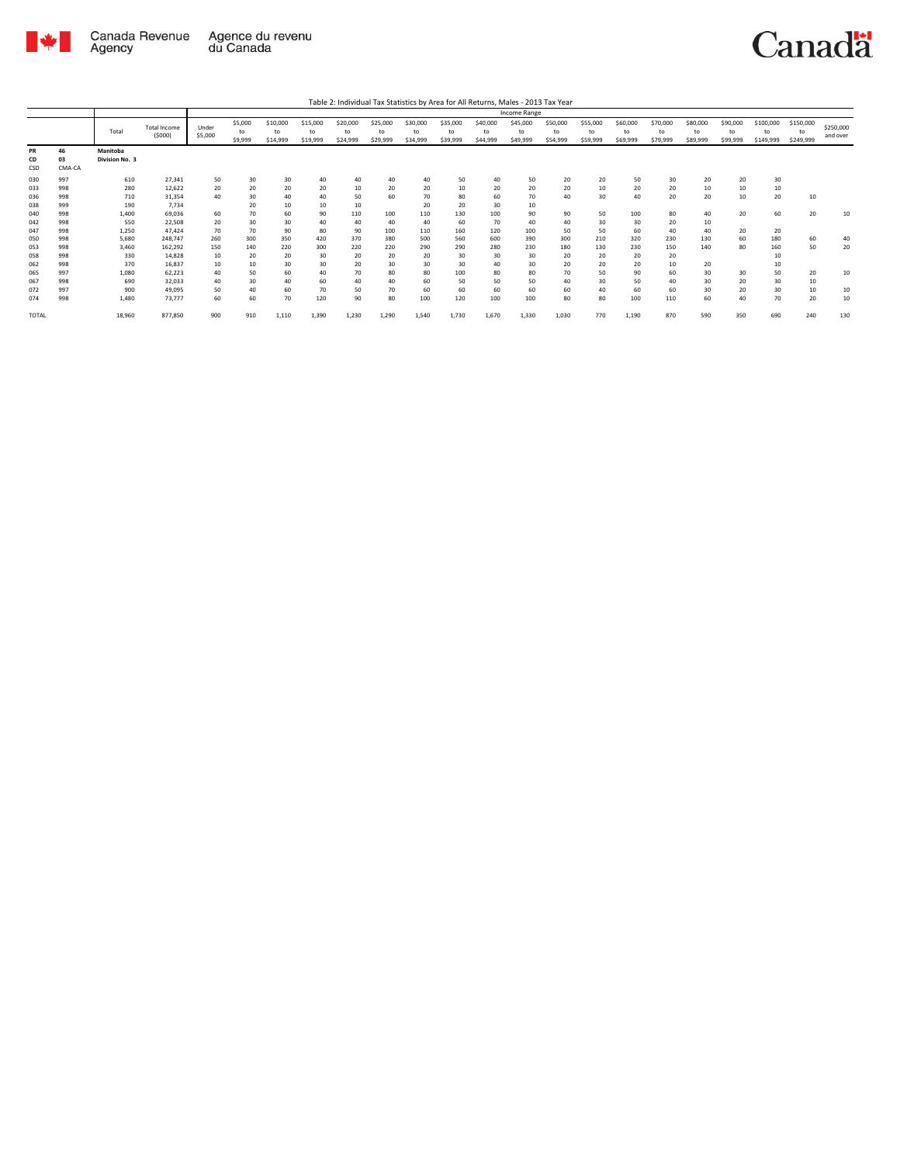

|                        |                    |                            |                               |                  |                          |                            |                            |                            |                            |                            |                            |                            | Income Range               |                            |                            |                            |                            |                            |                            |                              |                              |                       |
|------------------------|--------------------|----------------------------|-------------------------------|------------------|--------------------------|----------------------------|----------------------------|----------------------------|----------------------------|----------------------------|----------------------------|----------------------------|----------------------------|----------------------------|----------------------------|----------------------------|----------------------------|----------------------------|----------------------------|------------------------------|------------------------------|-----------------------|
|                        |                    | Total                      | <b>Total Income</b><br>(5000) | Under<br>\$5,000 | \$5,000<br>to<br>\$9,999 | \$10,000<br>to<br>\$14,999 | \$15,000<br>to<br>\$19,999 | \$20,000<br>to<br>\$24,999 | \$25,000<br>to<br>\$29,999 | \$30,000<br>to<br>\$34,999 | \$35,000<br>to<br>\$39,999 | \$40,000<br>to<br>\$44,999 | \$45,000<br>to<br>\$49,999 | \$50,000<br>to<br>\$54,999 | \$55,000<br>to<br>\$59,999 | \$60,000<br>to<br>\$69,999 | \$70,000<br>to<br>\$79,999 | \$80,000<br>to<br>\$89,999 | \$90,000<br>to<br>\$99,999 | \$100,000<br>to<br>\$149,999 | \$150,000<br>to<br>\$249,999 | \$250,000<br>and over |
| <b>PR</b><br>CD<br>CSD | 46<br>03<br>CMA-CA | Manitoba<br>Division No. 3 |                               |                  |                          |                            |                            |                            |                            |                            |                            |                            |                            |                            |                            |                            |                            |                            |                            |                              |                              |                       |
| 030                    | 997                | 610                        | 27,341                        | 50               | 30                       | 30                         | 40                         | 40                         | 40                         | 40                         | 50                         | 40                         | 50                         | 20                         | 20                         | 50                         | 30                         | 20                         | 20                         | 30                           |                              |                       |
| 033                    | 998                | 280                        | 12.622                        | 20               | 20                       | 20                         | 20                         | 10                         | 20                         | 20                         | 10                         | 20                         | 20                         | 20                         | 10                         | 20                         | 20                         | 10                         | 10                         | 10                           |                              |                       |
| 036                    | 998                | 710                        | 31,354                        | 40               | 30                       | 40                         | 40                         | 50                         | 60                         | 70                         | 80                         | 60                         | 70                         | 40                         | 30                         | 40                         | 20                         | 20                         | 10                         | 20                           | 10                           |                       |
| 038                    | 999                | 190                        | 7.734                         |                  | 20                       | 10                         | 10                         | 10                         |                            | 20                         | 20                         | 30                         | 10                         |                            |                            |                            |                            |                            |                            |                              |                              |                       |
| 040                    | 998                | 1,400                      | 69.036                        | 60               | 70                       | 60                         | 90                         | 110                        | 100                        | 110                        | 130                        | 100                        | 90                         | 90                         | 50                         | 100                        | 80                         | 40                         | 20                         | 60                           | 20                           | 10                    |
| 042                    | 998                | 550                        | 22,508                        | 20               | 30                       | 30                         | 40                         | 40                         | 40                         | 40                         | 60                         | 70                         | 40                         | 40                         | 30                         | 30                         | 20                         | 10                         |                            |                              |                              |                       |
| 047                    | 998                | 1,250                      | 47.424                        | 70               | 70                       | 90                         | 80                         | 90                         | 100                        | 110                        | 160                        | 120                        | 100                        | 50                         | 50                         | 60                         | 40                         | 40                         | 20                         | 20                           |                              |                       |
| 050                    | 998                | 5,680                      | 248.747                       | 260              | 300                      | 350                        | 420                        | 370                        | 380                        | 500                        | 560                        | 600                        | 390                        | 300                        | 210                        | 320                        | 230                        | 130                        | 60                         | 180                          | 60                           | 40                    |
| 053                    | 998                | 3.460                      | 162.292                       | 150              | 140                      | 220                        | 300                        | 220                        | 220                        | 290                        | 290                        | 280                        | 230                        | 180                        | 130                        | 230                        | 150                        | 140                        | 80                         | 160                          | 50                           | 20                    |
| 058                    | 998                | 330                        | 14,828                        | 10               | 20                       | 20                         | 30                         | 20                         | 20                         | 20                         | 30                         | 30                         | 30                         | 20                         | 20                         | 20                         | 20                         |                            |                            | 10                           |                              |                       |
| 062                    | 998                | 370                        | 16.837                        | 10               | 10                       | 30                         | 30                         | 20                         | 30                         | 30                         | 30                         | 40                         | 30                         | 20                         | 20                         | 20                         | 10                         | 20                         |                            | 10                           |                              |                       |
| 065                    | 997                | 1,080                      | 62.223                        | 40               | 50                       | 60                         | 40                         | 70                         | 80                         | 80                         | 100                        | 80                         | 80                         | 70                         | 50                         | 90                         | 60                         | 30                         | 30                         | 50                           | 20                           | 10                    |
| 067                    | 998                | 690                        | 32.033                        | 40               | 30                       | 40                         | 60                         | 40                         | 40                         | 60                         | 50                         | 50                         | 50                         | 40                         | 30                         | 50                         | 40                         | 30                         | 20                         | 30                           | 10                           |                       |
| 072                    | 997                | 900                        | 49.095                        | 50               | 40                       | 60                         | 70                         | 50                         | 70                         | 60                         | 60                         | 60                         | 60                         | 60                         | 40                         | 60                         | 60                         | 30                         | 20                         | 30                           | 10                           | 10                    |
| 074                    | 998                | 1,480                      | 73,777                        | 60               | 60                       | 70                         | 120                        | 90                         | 80                         | 100                        | 120                        | 100                        | 100                        | 80                         | 80                         | 100                        | 110                        | 60                         | 40                         | 70                           | 20                           | 10                    |
| <b>TOTAL</b>           |                    | 18,960                     | 877,850                       | 900              | 910                      | 1,110                      | 1,390                      | 1,230                      | 1,290                      | 1,540                      | 1,730                      | 1,670                      | 1,330                      | 1,030                      | 770                        | 1,190                      | 870                        | 590                        | 350                        | 690                          | 240                          | 130                   |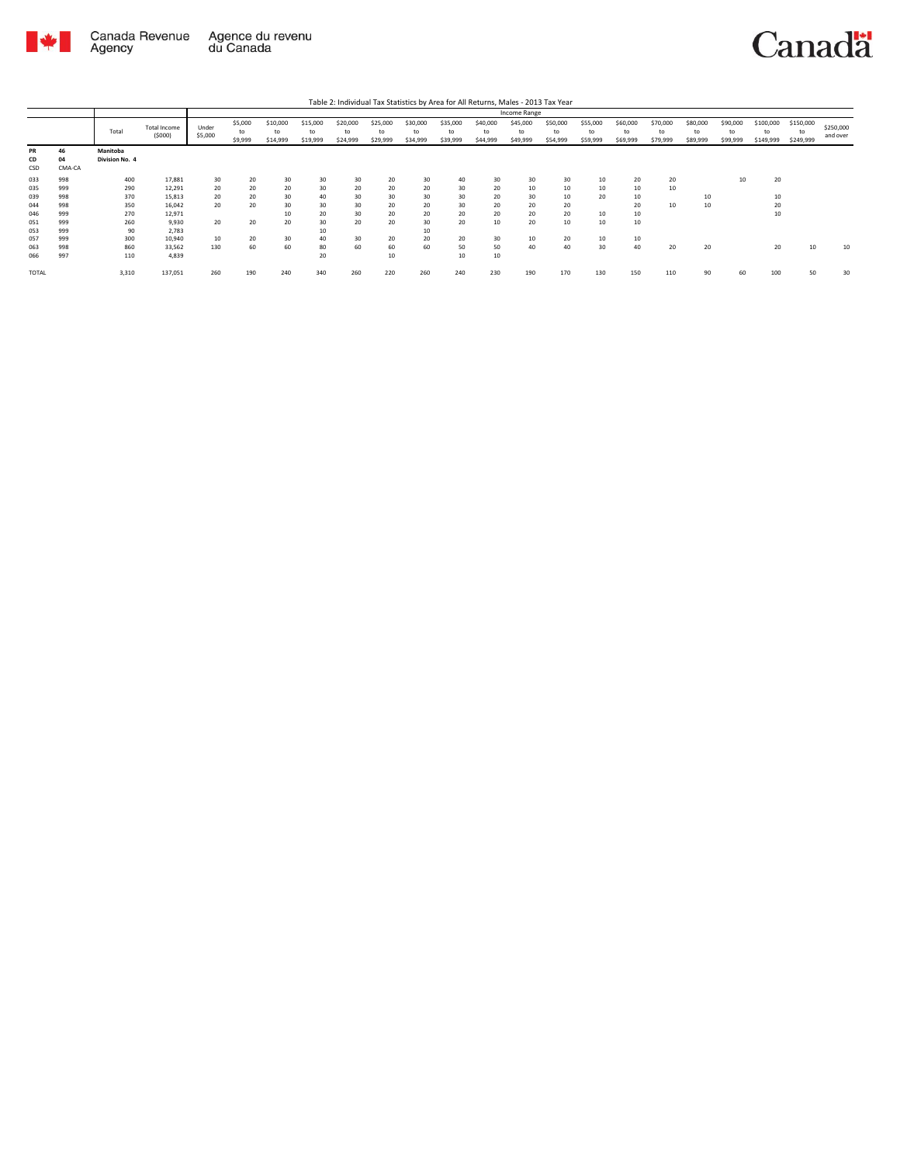

|                        |                    |                            |                               |                  |                          |                            |                            |                            |                            |                            |                            |                            | Income Range               |                            |                            |                            |                            |                            |                            |                              |                              |                       |
|------------------------|--------------------|----------------------------|-------------------------------|------------------|--------------------------|----------------------------|----------------------------|----------------------------|----------------------------|----------------------------|----------------------------|----------------------------|----------------------------|----------------------------|----------------------------|----------------------------|----------------------------|----------------------------|----------------------------|------------------------------|------------------------------|-----------------------|
|                        |                    | Total                      | <b>Total Income</b><br>(5000) | Under<br>\$5,000 | \$5,000<br>to<br>\$9,999 | \$10,000<br>to<br>\$14,999 | \$15,000<br>to<br>\$19,999 | \$20,000<br>to<br>\$24,999 | \$25,000<br>to<br>\$29,999 | \$30,000<br>to<br>\$34,999 | \$35,000<br>to<br>\$39,999 | \$40,000<br>to<br>\$44,999 | \$45,000<br>to<br>\$49,999 | \$50,000<br>to<br>\$54,999 | \$55,000<br>to<br>\$59,999 | \$60,000<br>to<br>\$69,999 | \$70,000<br>to<br>\$79,999 | \$80,000<br>to<br>\$89,999 | \$90,000<br>to<br>\$99,999 | \$100,000<br>to<br>\$149,999 | \$150,000<br>to<br>\$249,999 | \$250,000<br>and over |
| <b>PR</b><br>CD<br>CSD | 46<br>04<br>CMA-CA | Manitoba<br>Division No. 4 |                               |                  |                          |                            |                            |                            |                            |                            |                            |                            |                            |                            |                            |                            |                            |                            |                            |                              |                              |                       |
| 033                    | 998                | 400                        | 17,881                        | 30               | 20                       | 30                         | 30                         | 30                         | 20                         | 30                         | 40                         | 30                         | 30                         | 30                         | 10                         | 20                         | 20                         |                            | 10                         | 20                           |                              |                       |
| 035                    | 999                | 290                        | 12,291                        | 20               | 20                       | 20                         | 30                         | 20                         | 20                         | 20                         | 30                         | 20                         | 10                         | 10                         | 10                         | 10                         | 10                         |                            |                            |                              |                              |                       |
| 039                    | 998                | 370                        | 15,813                        | 20               | 20                       | 30                         | 40                         | 30                         | 30                         | 30                         | 30                         | 20                         | 30                         | 10                         | 20                         | 10                         |                            | 10                         |                            | 10                           |                              |                       |
| 044                    | 998                | 350                        | 16,042                        | 20               | 20                       | 30                         | 30                         | 30                         | 20                         | 20                         | 30                         | 20                         | 20                         | 20                         |                            | 20                         | 10                         | 10                         |                            | 20                           |                              |                       |
| 046                    | 999                | 270                        | 12,971                        |                  |                          | 10                         | 20                         | 30                         | 20                         | 20                         | 20                         | 20                         | 20                         | 20                         | 10                         | 10                         |                            |                            |                            | 10                           |                              |                       |
| 051                    | 999                | 260                        | 9,930                         | 20               | 20                       | 20                         | 30                         | 20                         | 20                         | 30                         | 20                         | 10                         | 20                         | 10                         | 10                         | 10                         |                            |                            |                            |                              |                              |                       |
| 053                    | 999                | 90                         | 2,783                         |                  |                          |                            | 10                         |                            |                            | 10                         |                            |                            |                            |                            |                            |                            |                            |                            |                            |                              |                              |                       |
| 057                    | 999                | 300                        | 10,940                        | 10               | 20                       | 30                         | 40                         | 30                         | 20                         | 20                         | 20                         | 30                         | 10                         | 20                         | 10                         | 10                         |                            |                            |                            |                              |                              |                       |
| 063                    | 998                | 860                        | 33.562                        | 130              | 60                       | 60                         | 80                         | 60                         | 60                         | 60                         | 50                         | 50                         | 40                         | 40                         | 30                         | 40                         | 20                         | 20                         |                            | 20                           | 10                           | 10                    |
| 066                    | 997                | 110                        | 4,839                         |                  |                          |                            | 20                         |                            | 10                         |                            | 10                         | 10                         |                            |                            |                            |                            |                            |                            |                            |                              |                              |                       |
| <b>TOTAL</b>           |                    | 3,310                      | 137,051                       | 260              | 190                      | 240                        | 340                        | 260                        | 220                        | 260                        | 240                        | 230                        | 190                        | 170                        | 130                        | 150                        | 110                        | 90                         | 60                         | 100                          | 50                           | 30                    |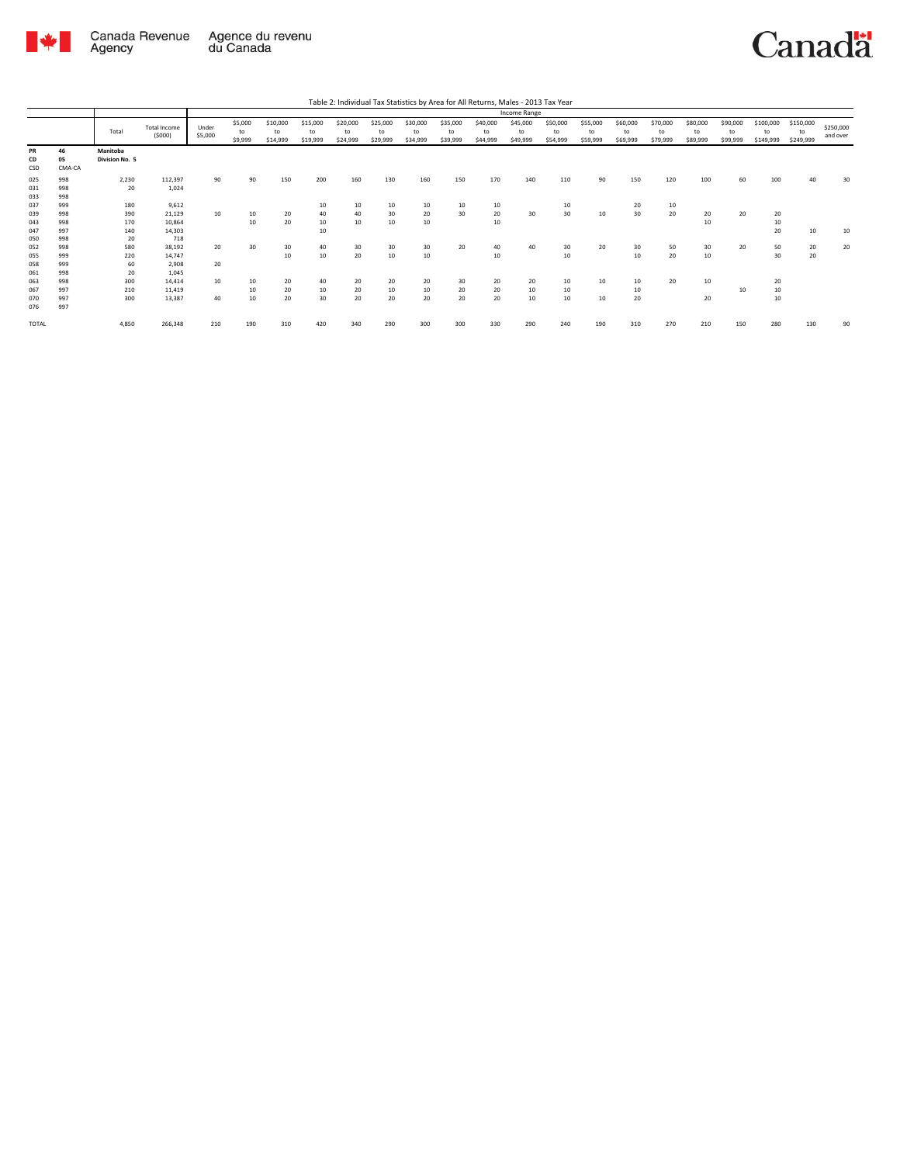

|                     |                          |                            |                               |                  |                          |                            |                            |                            |                            |                              | Table 2: Individual Tax Statistics by Area for All Returns, Males - 2013 Tax Year |                            |                            |                            |                            |                            |                            |                            |                            |                              |                              |                       |
|---------------------|--------------------------|----------------------------|-------------------------------|------------------|--------------------------|----------------------------|----------------------------|----------------------------|----------------------------|------------------------------|-----------------------------------------------------------------------------------|----------------------------|----------------------------|----------------------------|----------------------------|----------------------------|----------------------------|----------------------------|----------------------------|------------------------------|------------------------------|-----------------------|
|                     |                          |                            |                               |                  |                          |                            |                            |                            |                            |                              |                                                                                   |                            | Income Range               |                            |                            |                            |                            |                            |                            |                              |                              |                       |
|                     |                          | Total                      | <b>Total Income</b><br>(5000) | Under<br>\$5,000 | \$5,000<br>to<br>\$9,999 | \$10,000<br>to<br>\$14,999 | \$15,000<br>to<br>\$19,999 | \$20,000<br>to<br>\$24,999 | \$25,000<br>to<br>\$29,999 | \$30,000<br>to<br>\$34,999   | \$35,000<br>to<br>\$39,999                                                        | \$40,000<br>to<br>\$44,999 | \$45,000<br>to<br>\$49,999 | \$50,000<br>to<br>\$54,999 | \$55,000<br>to<br>\$59,999 | \$60,000<br>to<br>\$69,999 | \$70,000<br>to<br>\$79,999 | \$80,000<br>to<br>\$89,999 | \$90,000<br>to<br>\$99,999 | \$100,000<br>to<br>\$149,999 | \$150,000<br>to<br>\$249,999 | \$250,000<br>and over |
| PR<br>CD<br>CSD     | 46<br>05<br>CMA-CA       | Manitoba<br>Division No. 5 |                               |                  |                          |                            |                            |                            |                            |                              |                                                                                   |                            |                            |                            |                            |                            |                            |                            |                            |                              |                              |                       |
| 025<br>031<br>033   | 998<br>998<br>998        | 2,230<br>20                | 112,397<br>1,024              | 90               | 90                       | 150                        | 200                        | 160                        | 130                        | 160                          | 150                                                                               | 170                        | 140                        | 110                        | 90                         | 150                        | 120                        | 100                        | 60                         | 100                          | 40                           | 30                    |
| 037<br>039<br>043   | 999<br>998<br>998        | 180<br>390<br>170          | 9,612<br>21,129<br>10,864     | 10               | 10<br>10                 | 20<br>20                   | 10<br>40<br>10             | 10<br>40<br>10             | 10<br>30<br>10             | 10<br>20<br>10 <sup>10</sup> | 10<br>30                                                                          | 10<br>20<br>10             | 30                         | 10<br>30                   | 10                         | 20<br>30                   | 10<br>20                   | 20<br>10                   | 20                         | 20<br>10                     |                              |                       |
| 047<br>050<br>052   | 997<br>998<br>998        | 140<br>20<br>580           | 14.303<br>718<br>38,192       | 20               | 30                       | 30                         | 10<br>40                   | 30                         | 30                         | 30 <sub>o</sub>              | 20                                                                                | 40                         | 40                         | 30                         | 20                         | 30                         | 50                         | 30                         | 20                         | 20<br>50                     | 10<br>20                     | 10<br>20              |
| 055<br>058<br>061   | 999<br>999<br>998        | 220<br>60<br>20            | 14,747<br>2.908<br>1,045      | 20               |                          | 10                         | 10                         | 20                         | 10                         | 10 <sup>10</sup>             |                                                                                   | 10                         |                            | 10                         |                            | 10                         | 20                         | 10                         |                            | 30                           | 20                           |                       |
| 063<br>067<br>070   | 998<br>997<br>997<br>997 | 300<br>210<br>300          | 14,414<br>11,419<br>13,387    | 10<br>40         | 10<br>10<br>10           | 20<br>20<br>20             | 40<br>10<br>30             | 20<br>20<br>20             | 20<br>10<br>20             | 20<br>10<br>20               | 30<br>20<br>20                                                                    | 20<br>$20\,$<br>20         | 20<br>10<br>10             | 10<br>10<br>10             | 10<br>10                   | 10<br>10<br>20             | 20                         | 10<br>20                   | 10                         | 20<br>10<br>10               |                              |                       |
| 076<br><b>TOTAL</b> |                          | 4.850                      | 266,348                       | 210              | 190                      | 310                        | 420                        | 340                        | 290                        | 300                          | 300                                                                               | 330                        | 290                        | 240                        | 190                        | 310                        | 270                        | 210                        | 150                        | 280                          | 130                          | 90                    |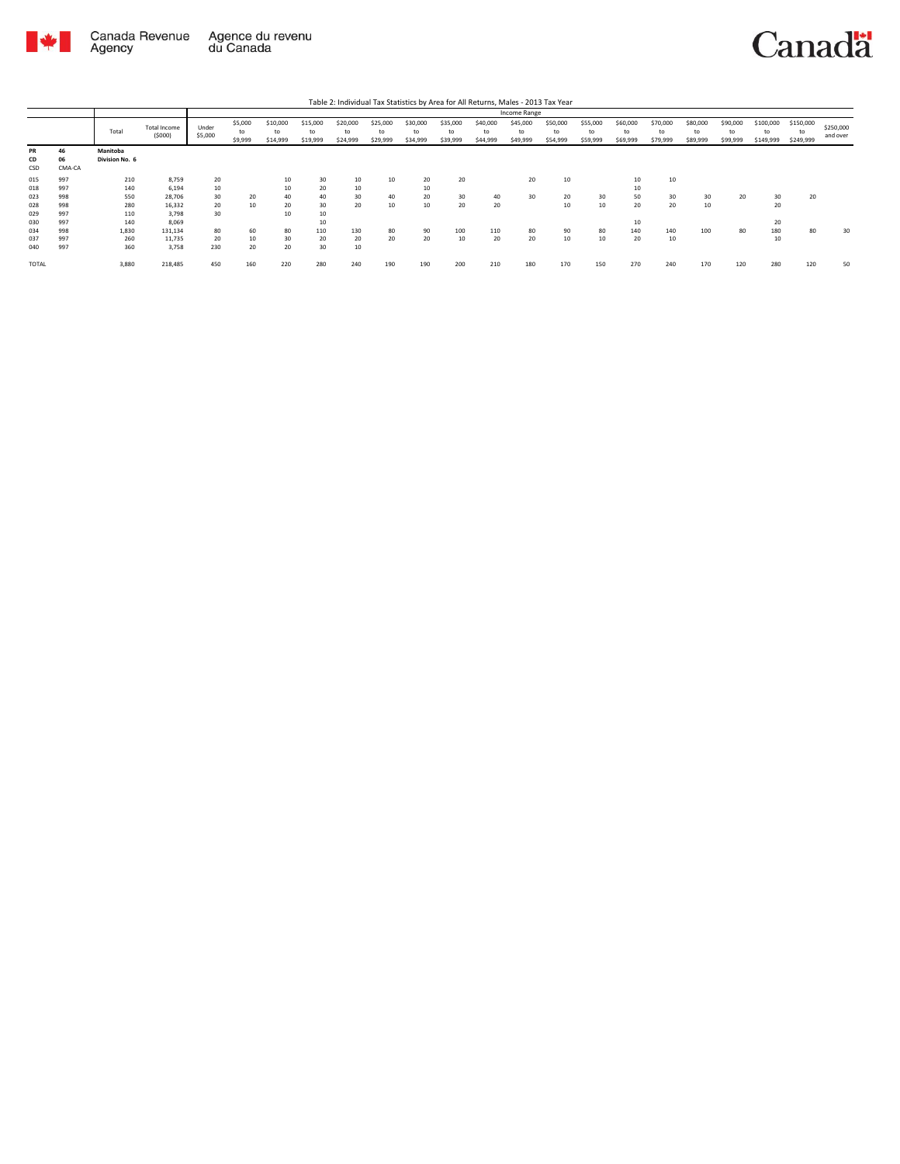

|                        |                    |                            |                               |                  |                          |                            |                            |                            |                            |                           |                            |                            | Income Range               |                            |                            |                            |                            |                            |                            |                              |                              |                       |
|------------------------|--------------------|----------------------------|-------------------------------|------------------|--------------------------|----------------------------|----------------------------|----------------------------|----------------------------|---------------------------|----------------------------|----------------------------|----------------------------|----------------------------|----------------------------|----------------------------|----------------------------|----------------------------|----------------------------|------------------------------|------------------------------|-----------------------|
|                        |                    | Total                      | <b>Total Income</b><br>(5000) | Under<br>\$5,000 | \$5,000<br>to<br>\$9,999 | \$10,000<br>to<br>\$14,999 | \$15,000<br>to<br>\$19,999 | \$20,000<br>to<br>\$24,999 | \$25,000<br>to<br>\$29,999 | \$30.00<br>to<br>\$34,999 | \$35,000<br>to<br>\$39,999 | \$40,000<br>to<br>\$44,999 | \$45,000<br>to<br>\$49,999 | \$50,000<br>to<br>\$54,999 | \$55,000<br>to<br>\$59,999 | \$60,000<br>to<br>\$69,999 | \$70,000<br>to<br>\$79,999 | \$80,000<br>to<br>\$89,999 | \$90,000<br>to<br>\$99,999 | \$100,000<br>to<br>\$149,999 | \$150,000<br>to<br>\$249,999 | \$250,000<br>and over |
| <b>PR</b><br>CD<br>CSD | 46<br>06<br>CMA-CA | Manitoba<br>Division No. 6 |                               |                  |                          |                            |                            |                            |                            |                           |                            |                            |                            |                            |                            |                            |                            |                            |                            |                              |                              |                       |
| 015                    | 997                | 210                        | 8,759                         | 20               |                          | 10                         | 30                         | 10                         | 10                         | 20                        | 20                         |                            | 20                         | 10                         |                            | 10                         | 10                         |                            |                            |                              |                              |                       |
| 018                    | 997                | 140                        | 6.194                         | 10               |                          | 10                         | 20                         | 10                         |                            | 10                        |                            |                            |                            |                            |                            | 10                         |                            |                            |                            |                              |                              |                       |
| 023                    | 998                | 550                        | 28,706                        | 30               | 20                       | 40                         | 40                         | 30                         | 40                         | 20                        | 30                         | 40                         | 30                         | 20                         | 30                         | 50                         | 30                         | 30                         | 20                         | 30                           | 20                           |                       |
| 028                    | 998                | 280                        | 16,332                        | 20               | 10                       | 20                         | 30                         | 20                         | 10                         | 10                        | 20                         | 20                         |                            | 10                         | 10                         | 20                         | 20                         | 10                         |                            | 20                           |                              |                       |
| 029                    | 997                | 110                        | 3,798                         | 30               |                          | 10                         | 10                         |                            |                            |                           |                            |                            |                            |                            |                            |                            |                            |                            |                            |                              |                              |                       |
| 030                    | 997                | 140                        | 8,069                         |                  |                          |                            | 10                         |                            |                            |                           |                            |                            |                            |                            |                            | 10                         |                            |                            |                            | 20                           |                              |                       |
| 034                    | 998                | 1.830                      | 131,134                       | 80               | 60                       | 80                         | 110                        | 130                        | 80                         | 90                        | 100                        | 110                        | 80                         | 90                         | 80                         | 140                        | 140                        | 100                        | 80                         | 180                          | 80                           | 30                    |
| 037                    | 997                | 260                        | 11,735                        | 20               | 10                       | 30                         | 20                         | 20                         | 20                         | 20                        | 10                         | 20                         | 20                         | 10                         | 10                         | 20                         | 10                         |                            |                            | 10                           |                              |                       |
| 040                    | 997                | 360                        | 3,758                         | 230              | 20                       | 20                         | 30                         | 10                         |                            |                           |                            |                            |                            |                            |                            |                            |                            |                            |                            |                              |                              |                       |
| <b>TOTAL</b>           |                    | 3,880                      | 218,485                       | 450              | 160                      | 220                        | 280                        | 240                        | 190                        | 190                       | 200                        | 210                        | 180                        | 170                        | 150                        | 270                        | 240                        | 170                        | 120                        | 280                          | 120                          | 50                    |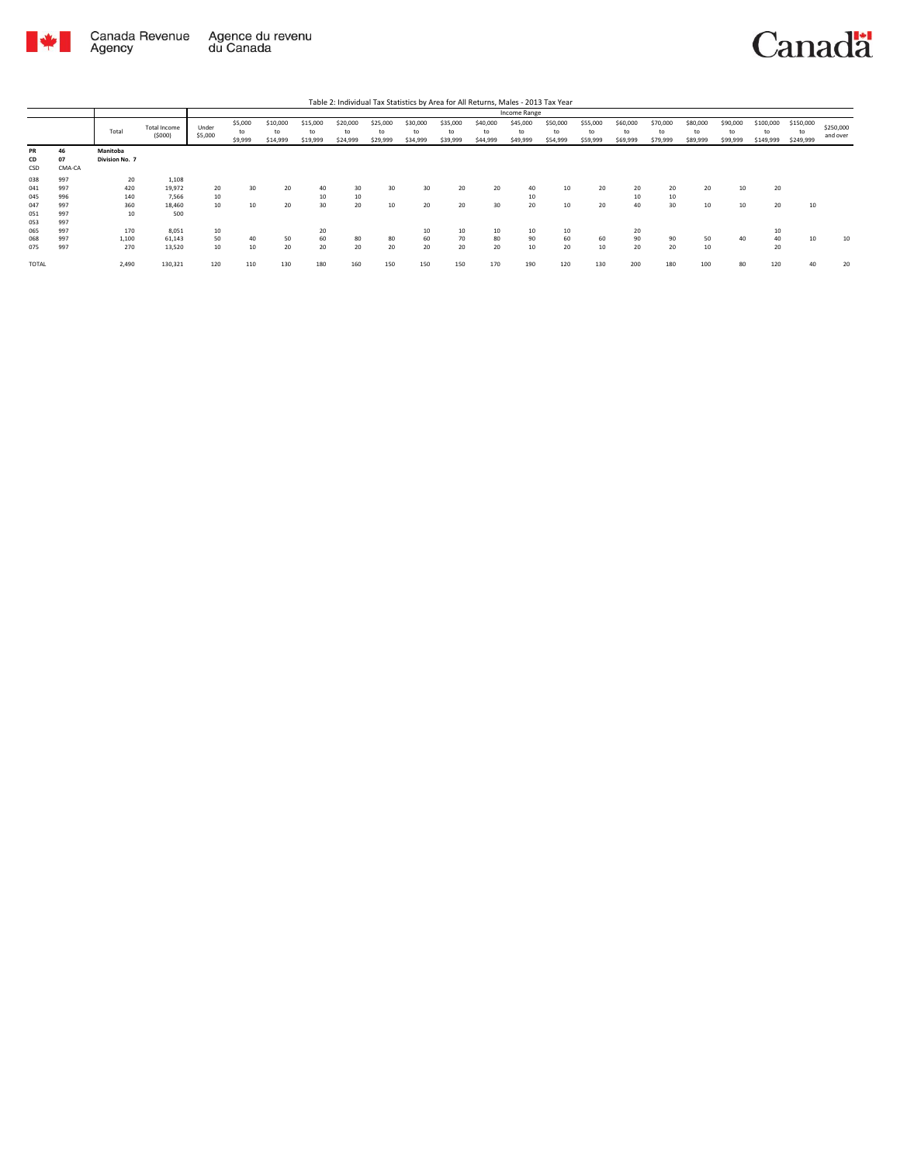

|                 |                    |                            |                               |                  |                          |                            |                            |                            |                            |                            |                            |                            | Income Range               |                            |                            |                            |                            |                            |                            |                              |                              |                       |
|-----------------|--------------------|----------------------------|-------------------------------|------------------|--------------------------|----------------------------|----------------------------|----------------------------|----------------------------|----------------------------|----------------------------|----------------------------|----------------------------|----------------------------|----------------------------|----------------------------|----------------------------|----------------------------|----------------------------|------------------------------|------------------------------|-----------------------|
|                 |                    | Total                      | <b>Total Income</b><br>(5000) | Under<br>\$5,000 | \$5,000<br>to<br>\$9,999 | \$10,000<br>to<br>\$14,999 | \$15,000<br>to<br>\$19,999 | \$20,000<br>to<br>\$24,999 | \$25,000<br>to<br>\$29,999 | \$30,000<br>to<br>\$34,999 | \$35,000<br>to<br>\$39,999 | \$40,000<br>to<br>\$44,999 | \$45,000<br>to<br>\$49,999 | \$50,000<br>to<br>\$54,999 | \$55,000<br>to<br>\$59,999 | \$60,000<br>to<br>\$69,999 | \$70,000<br>to<br>\$79,999 | \$80,000<br>to<br>\$89,999 | \$90,000<br>to<br>\$99,999 | \$100,000<br>to<br>\$149,999 | \$150,000<br>to<br>\$249,999 | \$250,000<br>and over |
| PR<br>CD<br>CSD | 46<br>07<br>CMA-CA | Manitoba<br>Division No. 7 |                               |                  |                          |                            |                            |                            |                            |                            |                            |                            |                            |                            |                            |                            |                            |                            |                            |                              |                              |                       |
| 038             | 997                | 20                         | 1,108                         |                  |                          |                            |                            |                            |                            |                            |                            |                            |                            |                            |                            |                            |                            |                            |                            |                              |                              |                       |
| 041             | 997                | 420                        | 19,972                        | 20               | 30                       | 20                         | 40                         | 30                         | 30                         | 30                         | 20                         | 20                         | 40                         | 10                         | 20                         | 20                         | 20                         | 20                         | 10                         | 20                           |                              |                       |
| 045             | 996                | 140                        | 7.566                         | 10               |                          |                            | 10                         | 10                         |                            |                            |                            |                            | 10                         |                            |                            | 10                         | 10                         |                            |                            |                              |                              |                       |
| 047             | 997                | 360                        | 18.460                        | 10               | 10                       | 20                         | 30                         | 20                         | 10                         | 20                         | 20                         | 30                         | 20                         | 10                         | 20                         | 40                         | 30                         | 10                         | 10                         | 20                           | 10                           |                       |
| 051             | 997                | 10                         | 500                           |                  |                          |                            |                            |                            |                            |                            |                            |                            |                            |                            |                            |                            |                            |                            |                            |                              |                              |                       |
| 053             | 997                |                            |                               |                  |                          |                            |                            |                            |                            |                            |                            |                            |                            |                            |                            |                            |                            |                            |                            |                              |                              |                       |
| 065             | 997                | 170                        | 8,051                         | 10               |                          |                            | 20                         |                            |                            | 10                         | 10                         | 10                         | 10                         | 10                         |                            | 20                         |                            |                            |                            | 10                           |                              |                       |
| 068             | 997                | 1,100                      | 61,143                        | 50               | 40                       | 50                         | 60                         | 80                         | 80                         | 60                         | 70                         | 80                         | 90                         | 60                         | 60                         | 90                         | 90                         | 50                         | 40                         | 40                           | 10                           | 10                    |
| 075             | 997                | 270                        | 13,520                        | 10               | 10                       | 20                         | 20                         | 20                         | 20                         | 20                         | 20                         | 20                         | 10                         | 20                         | 10                         | 20                         | 20                         | 10                         |                            | 20                           |                              |                       |
| TOTAL           |                    | 2,490                      | 130,321                       | 120              | 110                      | 130                        | 180                        | 160                        | 150                        | 150                        | 150                        | 170                        | 190                        | 120                        | 130                        | 200                        | 180                        | 100                        | 80                         | 120                          | 40                           | 20                    |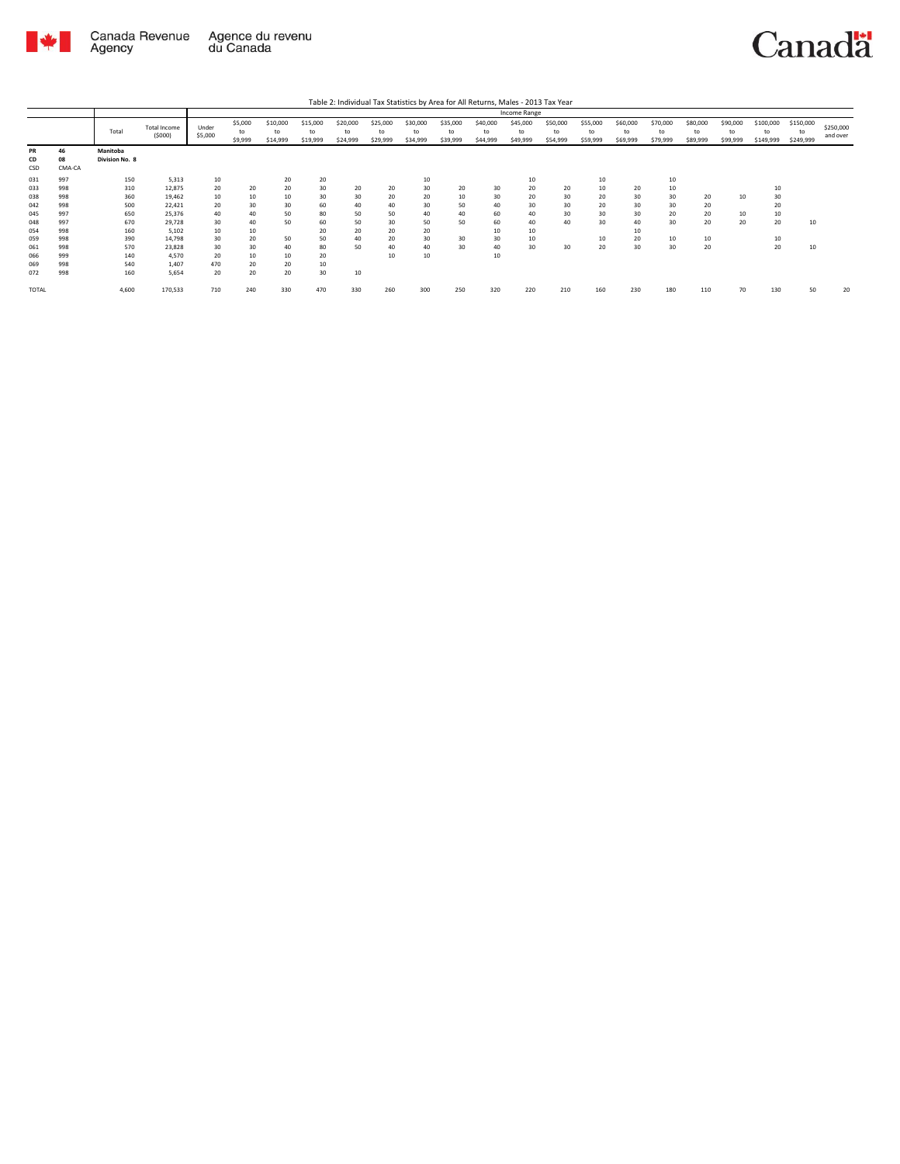

|                                                                           |                                                                           |                                                                           |                                                                                                        |                                                                 |                                                          |                                                          |                                                                |                                              |                                                    |                                                          |                                        |                                                    | Income Range                                       |                                  |                                              |                                              |                                              |                                  |                            |                                        |                              |                       |
|---------------------------------------------------------------------------|---------------------------------------------------------------------------|---------------------------------------------------------------------------|--------------------------------------------------------------------------------------------------------|-----------------------------------------------------------------|----------------------------------------------------------|----------------------------------------------------------|----------------------------------------------------------------|----------------------------------------------|----------------------------------------------------|----------------------------------------------------------|----------------------------------------|----------------------------------------------------|----------------------------------------------------|----------------------------------|----------------------------------------------|----------------------------------------------|----------------------------------------------|----------------------------------|----------------------------|----------------------------------------|------------------------------|-----------------------|
|                                                                           |                                                                           | Total                                                                     | <b>Total Income</b><br>(5000)                                                                          | Under<br>\$5,000                                                | \$5,000<br>to<br>\$9,999                                 | \$10,000<br>to<br>\$14,999                               | \$15,000<br>to<br>\$19,999                                     | \$20,000<br>to<br>\$24,999                   | \$25,000<br>to<br>\$29,999                         | \$30,000<br>to<br>\$34,999                               | \$35,000<br>to<br>\$39,999             | \$40,000<br>to<br>\$44,999                         | \$45,000<br>to<br>\$49,999                         | \$50,000<br>to<br>\$54,999       | \$55,000<br>to<br>\$59,999                   | \$60,000<br>to<br>\$69,999                   | \$70,000<br>to<br>\$79,999                   | \$80,000<br>to<br>\$89,999       | \$90,000<br>to<br>\$99,999 | \$100,000<br>to<br>\$149,999           | \$150,000<br>to<br>\$249,999 | \$250,000<br>and over |
| <b>PR</b><br>CD<br>CSD                                                    | 46<br>08<br>CMA-CA                                                        | Manitoba<br>Division No. 8                                                |                                                                                                        |                                                                 |                                                          |                                                          |                                                                |                                              |                                                    |                                                          |                                        |                                                    |                                                    |                                  |                                              |                                              |                                              |                                  |                            |                                        |                              |                       |
| 031<br>033<br>038<br>042<br>045<br>048<br>054<br>059<br>061<br>066<br>069 | 997<br>998<br>998<br>998<br>997<br>997<br>998<br>998<br>998<br>999<br>998 | 150<br>310<br>360<br>500<br>650<br>670<br>160<br>390<br>570<br>140<br>540 | 5,313<br>12,875<br>19,462<br>22,421<br>25,376<br>29,728<br>5.102<br>14,798<br>23,828<br>4.570<br>1.407 | 10<br>20<br>10<br>20<br>40<br>30<br>10<br>30<br>30<br>20<br>470 | 20<br>10<br>30<br>40<br>40<br>10<br>20<br>30<br>10<br>20 | 20<br>20<br>10<br>30<br>50<br>50<br>50<br>40<br>10<br>20 | 20<br>30<br>30<br>60<br>80<br>60<br>20<br>50<br>80<br>20<br>10 | 20<br>30<br>40<br>50<br>50<br>20<br>40<br>50 | 20<br>20<br>40<br>50<br>30<br>20<br>20<br>40<br>10 | 10<br>30<br>20<br>30<br>40<br>50<br>20<br>30<br>40<br>10 | 20<br>10<br>50<br>40<br>50<br>30<br>30 | 30<br>30<br>40<br>60<br>60<br>10<br>30<br>40<br>10 | 10<br>20<br>20<br>30<br>40<br>40<br>10<br>10<br>30 | 20<br>30<br>30<br>30<br>40<br>30 | 10<br>10<br>20<br>20<br>30<br>30<br>10<br>20 | 20<br>30<br>30<br>30<br>40<br>10<br>20<br>30 | 10<br>10<br>30<br>30<br>20<br>30<br>10<br>30 | 20<br>20<br>20<br>20<br>10<br>20 | 10<br>10<br>20             | 10<br>30<br>20<br>10<br>20<br>10<br>20 | 10<br>10                     |                       |
| 072<br><b>TOTAL</b>                                                       | 998                                                                       | 160<br>4,600                                                              | 5.654<br>170,533                                                                                       | 20<br>710                                                       | 20<br>240                                                | 20<br>330                                                | 30<br>470                                                      | 10<br>330                                    | 260                                                | 300                                                      | 250                                    | 320                                                | 220                                                | 210                              | 160                                          | 230                                          | 180                                          | 110                              | 70                         | 130                                    | 50                           | 20                    |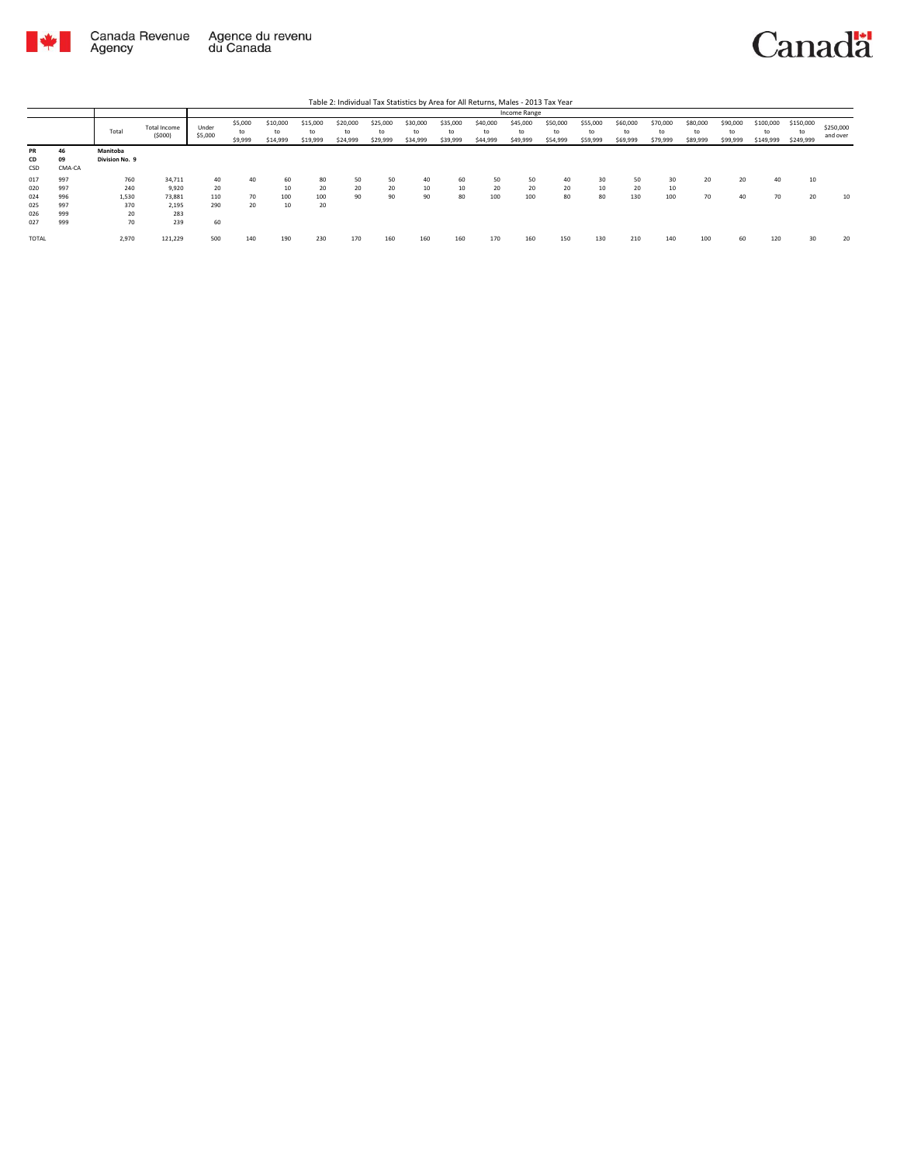

|                 |                    |                            |                        |                  |                          |                            |                            |                            |                            |                            |                            |                            | Income Range               |                            |                            |                            |                            |                            |                            |                              |                              |                       |
|-----------------|--------------------|----------------------------|------------------------|------------------|--------------------------|----------------------------|----------------------------|----------------------------|----------------------------|----------------------------|----------------------------|----------------------------|----------------------------|----------------------------|----------------------------|----------------------------|----------------------------|----------------------------|----------------------------|------------------------------|------------------------------|-----------------------|
|                 |                    | Total                      | Total Income<br>(5000) | Under<br>\$5,000 | \$5,000<br>to<br>\$9,999 | \$10,000<br>to<br>\$14,999 | \$15,000<br>to<br>\$19,999 | \$20,000<br>to<br>\$24,999 | \$25,000<br>to<br>\$29,999 | \$30,000<br>to<br>\$34,999 | \$35,000<br>to<br>\$39,999 | \$40,000<br>to<br>\$44,999 | \$45,000<br>to<br>\$49,999 | \$50,000<br>to<br>\$54,999 | \$55,000<br>to<br>\$59,999 | \$60,000<br>to<br>\$69,999 | \$70,000<br>to<br>\$79,999 | \$80,000<br>to<br>\$89,999 | \$90,000<br>to<br>\$99,999 | \$100,000<br>to<br>\$149,999 | \$150,000<br>to<br>\$249,999 | \$250,000<br>and over |
| PR<br>CD<br>CSD | 46<br>09<br>CMA-CA | Manitoba<br>Division No. 9 |                        |                  |                          |                            |                            |                            |                            |                            |                            |                            |                            |                            |                            |                            |                            |                            |                            |                              |                              |                       |
| 017             | 997                | 760                        | 34,711                 | 40               | 40                       | 60                         | 80                         | 50                         | 50                         | 40                         | 60                         | 50                         | 50                         | 40                         | 30                         | 50                         | 30                         | 20                         | 20                         | 40                           | 10                           |                       |
| 020             | 997                | 240                        | 9,920                  | 20               |                          | 10                         | 20                         | 20                         | 20                         | 10                         | 10                         | 20                         | 20                         | 20                         | 10                         | 20                         | 10                         |                            |                            |                              |                              |                       |
| 024             | 996                | 1,530                      | 73,881                 | 110              | 70                       | 100                        | 100                        | 90                         | 90                         | 90                         | 80                         | 100                        | 100                        | 80                         | 80                         | 130                        | 100                        | 70                         | 40                         | 70                           | 20                           | 10                    |
| 025             | 997                | 370                        | 2,195                  | 290              | 20                       | 10                         | 20                         |                            |                            |                            |                            |                            |                            |                            |                            |                            |                            |                            |                            |                              |                              |                       |
| 026             | 999                | 20                         | 283                    |                  |                          |                            |                            |                            |                            |                            |                            |                            |                            |                            |                            |                            |                            |                            |                            |                              |                              |                       |
| 027             | 999                | 70                         | 239                    | 60               |                          |                            |                            |                            |                            |                            |                            |                            |                            |                            |                            |                            |                            |                            |                            |                              |                              |                       |
| TOTAL           |                    | 2,970                      | 121,229                | 500              | 140                      | 190                        | 230                        | 170                        | 160                        | 160                        | 160                        | 170                        | 160                        | 150                        | 130                        | 210                        | 140                        | 100                        | 60                         | 120                          | 30                           | 20                    |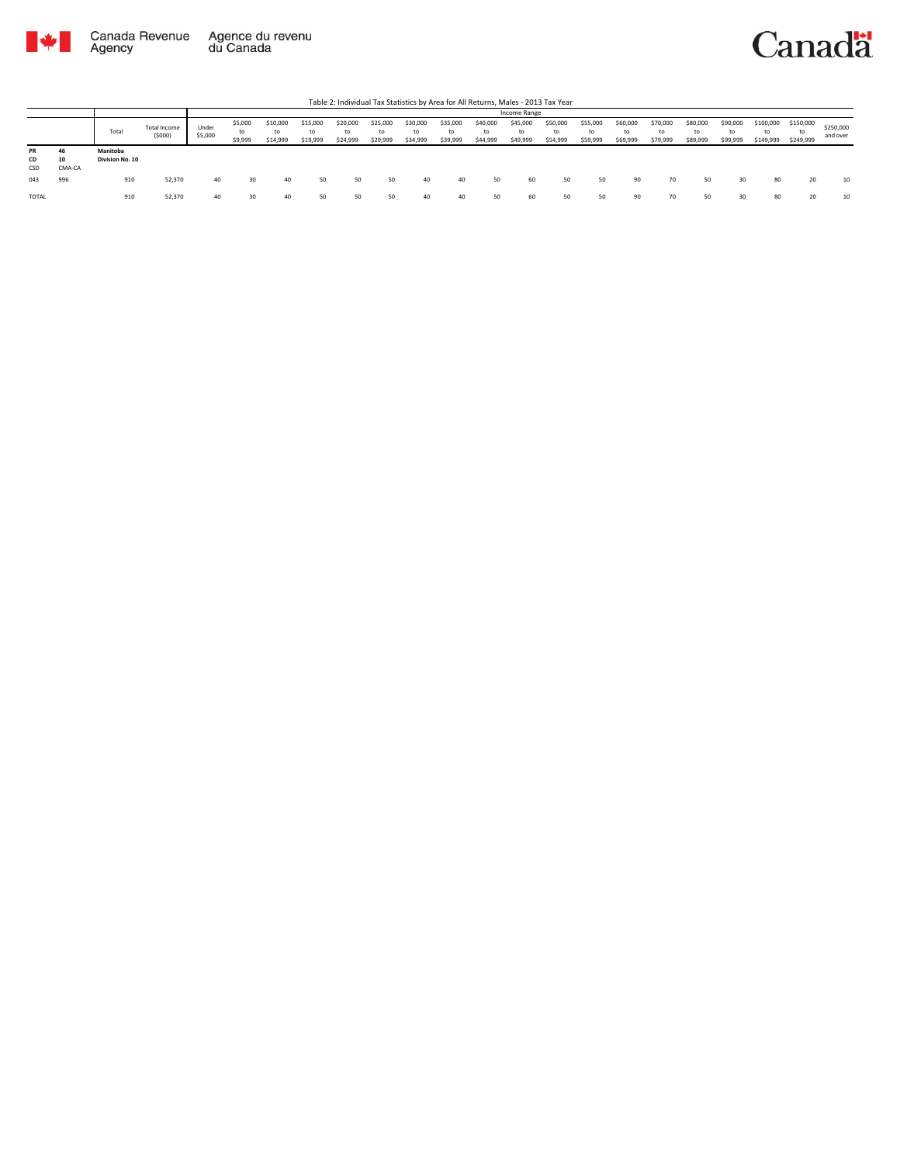



|                 |                    |                             |                        |                  |                          |                            |                            |                            |                            |                            |                      |                            | Income Range               |                            |                            |                            |                            |                            |                            |                              |                              |                       |
|-----------------|--------------------|-----------------------------|------------------------|------------------|--------------------------|----------------------------|----------------------------|----------------------------|----------------------------|----------------------------|----------------------|----------------------------|----------------------------|----------------------------|----------------------------|----------------------------|----------------------------|----------------------------|----------------------------|------------------------------|------------------------------|-----------------------|
|                 |                    | Total                       | Total Income<br>(5000) | Under<br>\$5,000 | \$5,000<br>to<br>\$9,999 | \$10,000<br>to<br>\$14,999 | \$15,000<br>tc<br>\$19,999 | \$20,000<br>to<br>\$24,999 | \$25,000<br>to<br>\$29,999 | \$30,000<br>to<br>\$34,999 | \$35,000<br>\$39,999 | \$40,000<br>to<br>\$44,999 | \$45,000<br>to<br>\$49,999 | \$50,000<br>to<br>\$54,999 | \$55,000<br>to<br>\$59,999 | \$60,000<br>to<br>\$69,999 | \$70,000<br>to<br>\$79,999 | \$80,000<br>to<br>\$89,999 | \$90,000<br>to<br>\$99,999 | \$100,000<br>to<br>\$149,999 | \$150,000<br>to<br>\$249,999 | \$250,000<br>and over |
| PR<br>CD<br>CSD | 46<br>10<br>CMA-CA | Manitoba<br>Division No. 10 |                        |                  |                          |                            |                            |                            |                            |                            |                      |                            |                            |                            |                            |                            |                            |                            |                            |                              |                              |                       |
| 043             | 996                | 910                         | 52,370                 | 40               | 30                       | 40                         | 50                         | 50                         | 50                         | 40                         | 40                   | 50                         | 60                         | 50                         | 50                         | 90                         | 70                         | 50                         | 30                         | 80                           | 20                           | 10                    |
| TOTAL           |                    | 910                         | 52,370                 | 40               | 30                       | 40                         | 50                         | 50                         | 50                         | 40                         | 40                   | 50                         | 60                         | 50                         | 50                         | 90                         | 70                         | 50                         | 30                         | 80                           | 20                           | 10                    |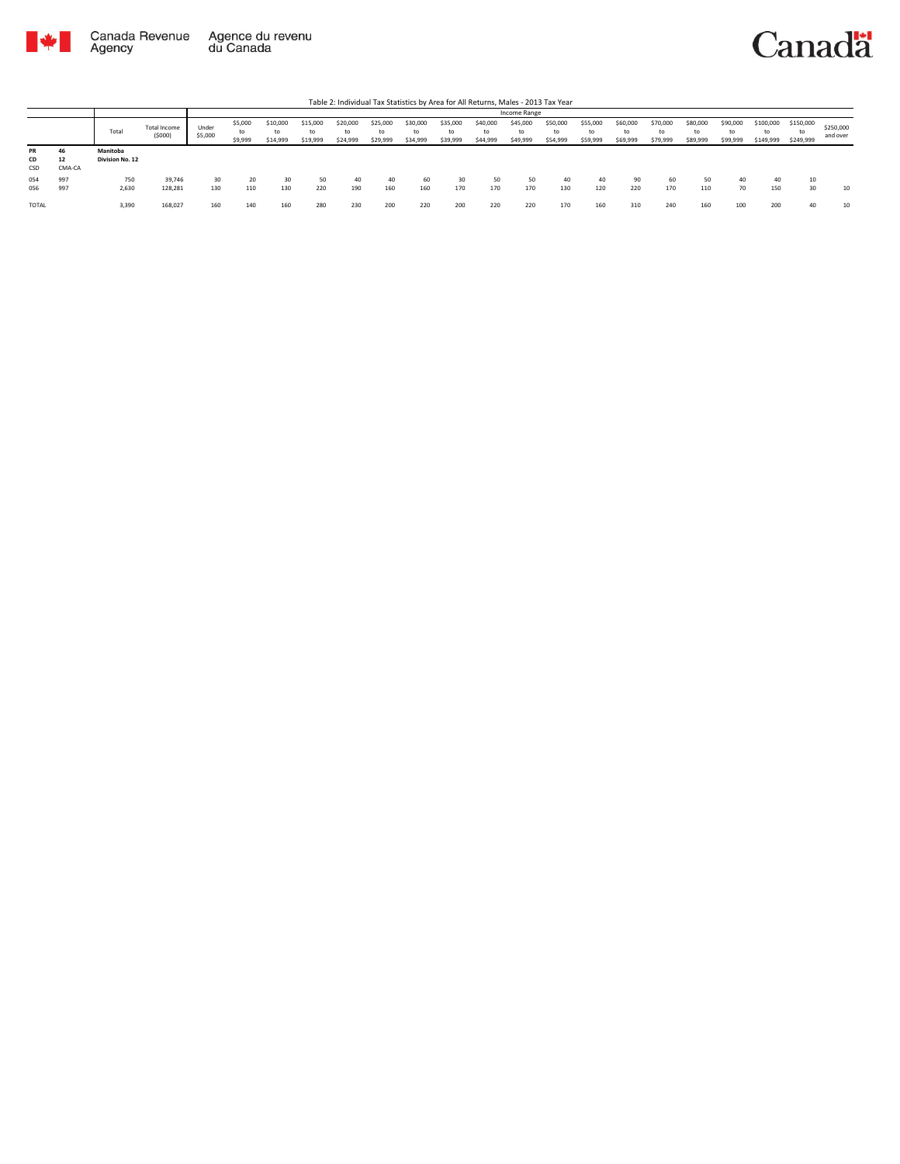

|                        |                    |                             |                        |                  |                          |                            |                            |                            |                            |                            |                            |                            | Income Range               |                            |                            |                            |                            |                            |                            |                              |                              |                       |
|------------------------|--------------------|-----------------------------|------------------------|------------------|--------------------------|----------------------------|----------------------------|----------------------------|----------------------------|----------------------------|----------------------------|----------------------------|----------------------------|----------------------------|----------------------------|----------------------------|----------------------------|----------------------------|----------------------------|------------------------------|------------------------------|-----------------------|
|                        |                    | Total                       | Total Income<br>(5000) | Under<br>\$5,000 | \$5,000<br>to<br>\$9,999 | \$10,000<br>to<br>\$14,999 | \$15,000<br>to<br>\$19,999 | \$20,000<br>to<br>\$24,999 | \$25,000<br>to<br>\$29,999 | \$30,000<br>to<br>\$34,999 | \$35,000<br>to<br>\$39,999 | \$40,000<br>to<br>\$44,999 | \$45,000<br>to<br>\$49,999 | \$50,000<br>to<br>\$54,999 | \$55,000<br>to<br>\$59,999 | \$60,000<br>to<br>\$69,999 | \$70,000<br>to<br>\$79,999 | \$80,000<br>to<br>\$89,999 | \$90,000<br>to<br>\$99,999 | \$100,000<br>to<br>\$149,999 | \$150,000<br>to<br>\$249,999 | \$250,000<br>and over |
| <b>PR</b><br>CD<br>CSD | 46<br>12<br>CMA-CA | Manitoba<br>Division No. 12 |                        |                  |                          |                            |                            |                            |                            |                            |                            |                            |                            |                            |                            |                            |                            |                            |                            |                              |                              |                       |
| 054<br>056             | 997<br>997         | 750<br>2,630                | 39,746<br>128.281      | 30<br>130        | 20<br>110                | 130                        | 50<br>220                  | 40<br>190                  | 40<br>160                  | 60<br>160                  | 30<br>170                  | 50<br>170                  | 50<br>170                  | 40<br>130                  | 40<br>120                  | 220                        | 60<br>170                  | 50<br>110                  | 40<br>70                   | 40<br>150                    | 10<br>30                     | 10                    |
| TOTAL                  |                    | 3,390                       | 168,027                | 160              | 140                      | 160                        | 280                        | 230                        | 200                        | 220                        | 200                        | 220                        | 220                        | 170                        | 160                        | 310                        | 240                        | 160                        | 100                        | 200                          | 40                           | 10                    |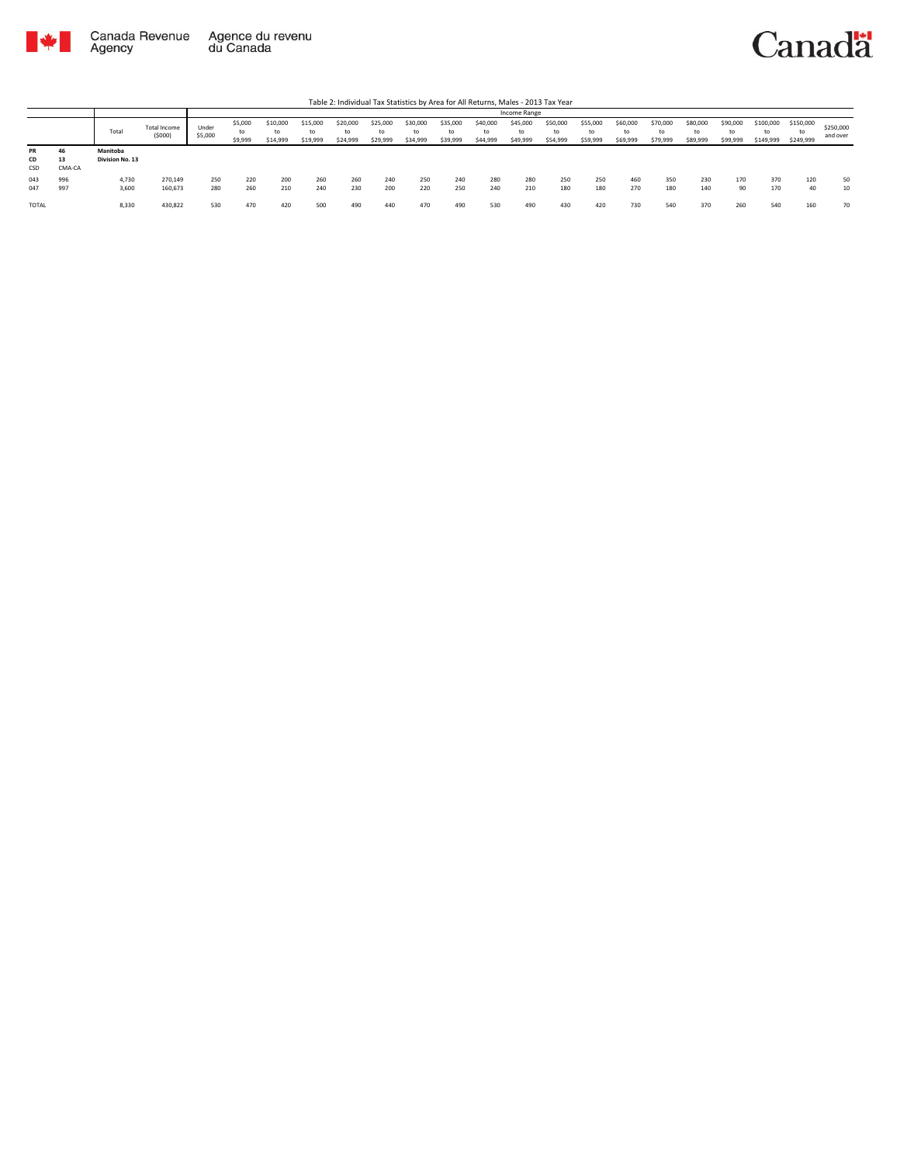

|                 |                    |                             |                        |                  |                          |                            |                            |                            |                            |                            |                            |                            | Income Range               |                            |                            |                            |                            |                            |                            |                              |                        |                       |
|-----------------|--------------------|-----------------------------|------------------------|------------------|--------------------------|----------------------------|----------------------------|----------------------------|----------------------------|----------------------------|----------------------------|----------------------------|----------------------------|----------------------------|----------------------------|----------------------------|----------------------------|----------------------------|----------------------------|------------------------------|------------------------|-----------------------|
|                 |                    | Total                       | Total Income<br>(5000) | Under<br>\$5,000 | \$5,000<br>to<br>\$9,999 | \$10,000<br>to<br>\$14,999 | \$15,000<br>to<br>\$19,999 | \$20,000<br>to<br>\$24,999 | \$25,000<br>to<br>\$29,999 | \$30,000<br>to<br>\$34,999 | \$35,000<br>to<br>\$39,999 | \$40,000<br>to<br>\$44,999 | \$45,000<br>to<br>\$49,999 | \$50,000<br>to<br>\$54,999 | \$55,000<br>to<br>\$59,999 | \$60,000<br>to<br>\$69,999 | \$70,000<br>to<br>\$79,999 | \$80,000<br>to<br>\$89,999 | \$90,000<br>to<br>\$99,999 | \$100,000<br>to<br>\$149,999 | \$150,000<br>\$249,999 | \$250,000<br>and over |
| PR<br>CD<br>CSD | 46<br>13<br>CMA-CA | Manitoba<br>Division No. 13 |                        |                  |                          |                            |                            |                            |                            |                            |                            |                            |                            |                            |                            |                            |                            |                            |                            |                              |                        |                       |
| 043<br>047      | 996<br>997         | 4.730<br>3,600              | 270.149<br>160,673     | 250<br>280       | 220<br>260               | 200<br>210                 | 260<br>240                 | 260<br>230                 | 240<br>200                 | 250<br>220                 | 240<br>250                 | 280<br>240                 | 280<br>210                 | 250<br>180                 | 250<br>180                 | 460<br>270                 | 350<br>180                 | 230<br>140                 | 170<br>90                  | 370<br>170                   | 120<br>40              | 50<br>10              |
| <b>TOTAL</b>    |                    | 8,330                       | 430,822                | 530              | 470                      | 420                        | 500                        | 490                        | 440                        | 470                        | 490                        | 530                        | 490                        | 430                        | 420                        | 730                        | 540                        | 370                        | 260                        | 540                          | 160                    | 70                    |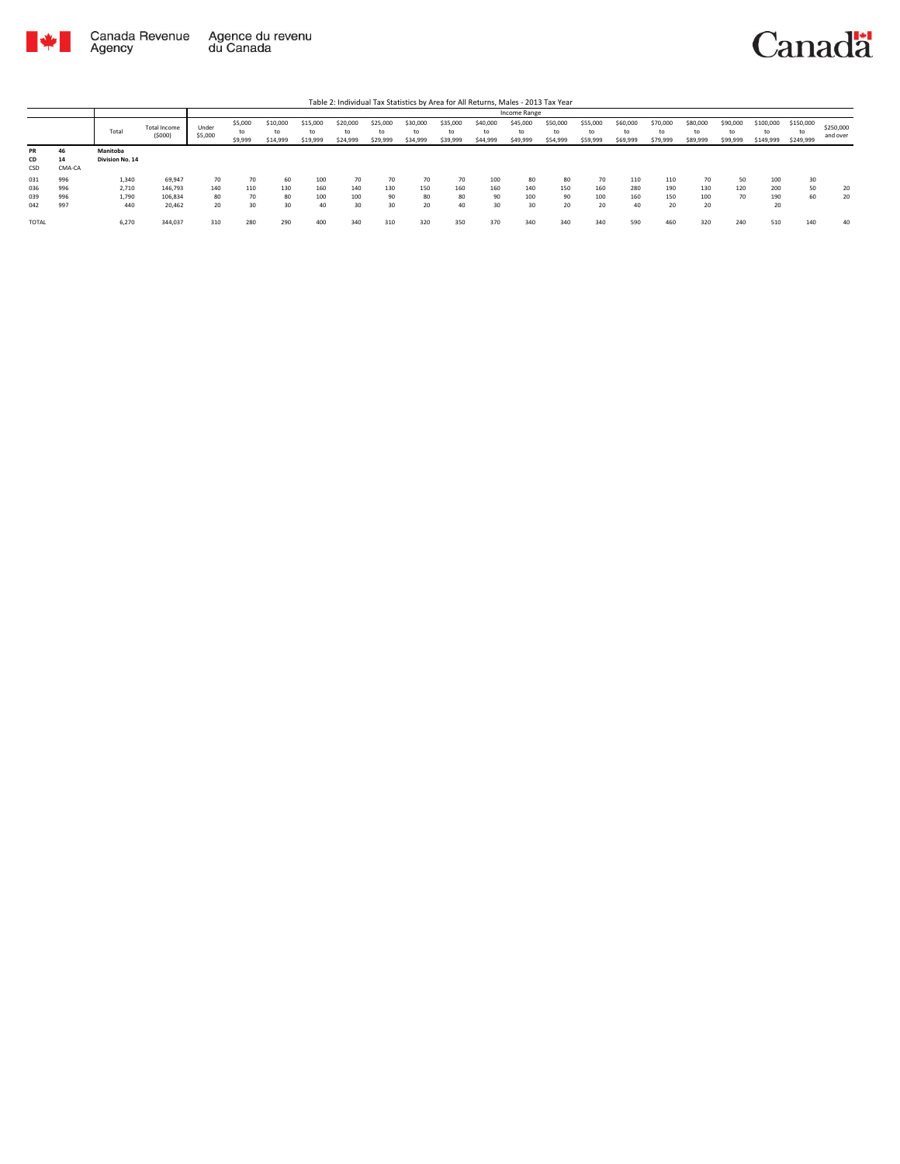

|                        |                    |                             |                        |                  |                    |                            |                            |                            |                            | Table 2: Individual Tax Statistics by Area for All Returns, Males - 2013 Tax Year |                            |                            |                            |                            |                            |                            |                            |                            |                            |                              |                        |                       |
|------------------------|--------------------|-----------------------------|------------------------|------------------|--------------------|----------------------------|----------------------------|----------------------------|----------------------------|-----------------------------------------------------------------------------------|----------------------------|----------------------------|----------------------------|----------------------------|----------------------------|----------------------------|----------------------------|----------------------------|----------------------------|------------------------------|------------------------|-----------------------|
|                        |                    |                             |                        |                  |                    |                            |                            |                            |                            |                                                                                   |                            |                            | Income Range               |                            |                            |                            |                            |                            |                            |                              |                        |                       |
|                        |                    | Total                       | Total Income<br>(5000) | Under<br>\$5,000 | \$5,000<br>\$9,999 | \$10,000<br>to<br>\$14,999 | \$15,000<br>to<br>\$19,999 | \$20,000<br>to<br>\$24,999 | \$25,000<br>to<br>\$29,999 | \$30,000<br>to<br>\$34,999                                                        | \$35,000<br>to<br>\$39,999 | \$40,000<br>to<br>\$44,999 | \$45,000<br>to<br>\$49,999 | \$50,000<br>to<br>\$54,999 | \$55,000<br>to<br>\$59,999 | \$60,000<br>to<br>\$69,999 | \$70,000<br>to<br>\$79,999 | \$80,000<br>to<br>\$89,999 | \$90,000<br>to<br>\$99,999 | \$100,000<br>to<br>\$149,999 | \$150,000<br>\$249,999 | \$250,000<br>and over |
| <b>PR</b><br>CD<br>CSD | 46<br>14<br>CMA-CA | Manitoba<br>Division No. 14 |                        |                  |                    |                            |                            |                            |                            |                                                                                   |                            |                            |                            |                            |                            |                            |                            |                            |                            |                              |                        |                       |
| 031<br>036             | 996<br>996         | 1,340<br>2.710              | 69,947<br>146,793      | 70<br>140        | 70<br>110          | 60<br>130                  | 100<br>160                 | 70<br>140                  | 70<br>130                  | 70<br>150                                                                         | 70<br>160                  | 100<br>160                 | 80<br>140                  | 80<br>150                  | 70<br>160                  | 110<br>280                 | 110<br>190                 | 70<br>130                  | 50<br>120                  | 100<br>200                   | 30<br>50               | 20                    |
| 039<br>042             | 996<br>997         | 1,790<br>440                | 106.834<br>20.462      | 80<br>20         | 70<br>30           | 80<br>30                   | 100<br>40                  | 100<br>30                  | 90<br>30                   | 80<br>20                                                                          | 80<br>40                   | 90<br>30                   | 100<br>30                  | 90<br>20                   | 100<br>20                  | 160                        | 150<br>20                  | 100<br>20                  | 70                         | 190<br>20                    | 60                     | 20                    |
| <b>TOTAL</b>           |                    | 6,270                       | 344,037                | 310              | 280                | 290                        | 400                        | 340                        | 310                        | 320                                                                               | 350                        | 370                        | 340                        | 340                        | 340                        | 590                        | 460                        | 320                        | 240                        | 510                          | 140                    | 40                    |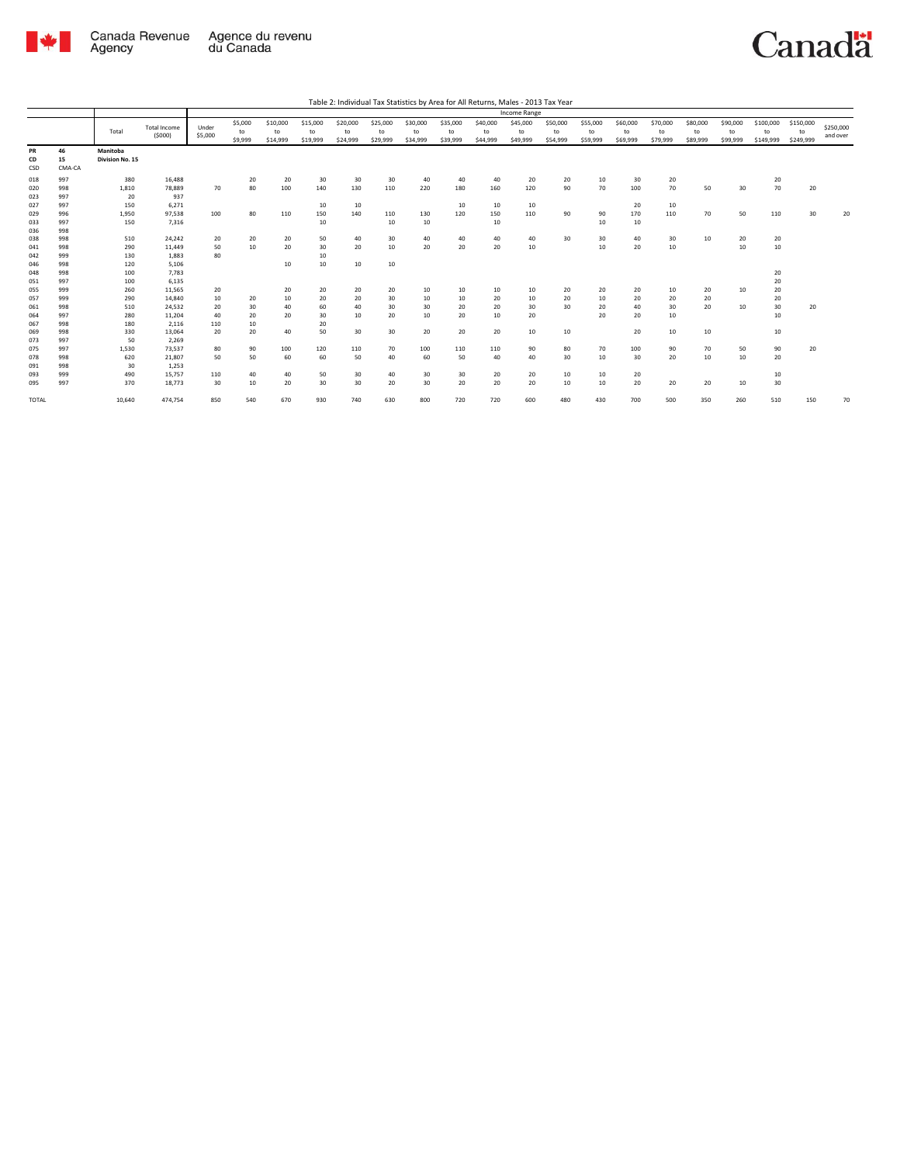

|                          |                          |                             |                                    |                  |                          |                            |                            |                            |                            |                            |                            |                            | Income Range               |                            |                            |                            |                            |                            |                            |                              |                              |                       |
|--------------------------|--------------------------|-----------------------------|------------------------------------|------------------|--------------------------|----------------------------|----------------------------|----------------------------|----------------------------|----------------------------|----------------------------|----------------------------|----------------------------|----------------------------|----------------------------|----------------------------|----------------------------|----------------------------|----------------------------|------------------------------|------------------------------|-----------------------|
|                          |                          | Total                       | <b>Total Income</b><br>(5000)      | Under<br>\$5,000 | \$5,000<br>to<br>\$9,999 | \$10,000<br>to<br>\$14,999 | \$15,000<br>to<br>\$19,999 | \$20,000<br>to<br>\$24,999 | \$25,000<br>to<br>\$29,999 | \$30,000<br>to<br>\$34,999 | \$35,000<br>to<br>\$39,999 | \$40,000<br>to<br>\$44,999 | \$45,000<br>to<br>\$49,999 | \$50,000<br>to<br>\$54,999 | \$55,000<br>to<br>\$59,999 | \$60,000<br>to<br>\$69,999 | \$70,000<br>to<br>\$79,999 | \$80,000<br>to<br>\$89,999 | \$90,000<br>to<br>\$99,999 | \$100,000<br>to<br>\$149,999 | \$150,000<br>to<br>\$249,999 | \$250,000<br>and over |
| PR<br>CD<br>CSD          | 46<br>15<br>CMA-CA       | Manitoba<br>Division No. 15 |                                    |                  |                          |                            |                            |                            |                            |                            |                            |                            |                            |                            |                            |                            |                            |                            |                            |                              |                              |                       |
| 018<br>020<br>023        | 997<br>998<br>997<br>997 | 380<br>1,810<br>20          | 16,488<br>78,889<br>937            | 70               | 20<br>80                 | 20<br>100                  | 30<br>140                  | 30<br>130                  | 30<br>110                  | 40<br>220                  | 40<br>180                  | 40<br>160                  | 20<br>120                  | 20<br>90                   | 10<br>70                   | 30<br>100                  | 20<br>70                   | 50                         | 30                         | 20<br>70                     | 20                           |                       |
| 027<br>029<br>033<br>036 | 996<br>997<br>998        | 150<br>1,950<br>150         | 6,271<br>97,538<br>7,316           | 100              | 80                       | 110                        | 10<br>150<br>10            | 10<br>140                  | 110<br>10                  | 130<br>10                  | 10<br>120                  | 10<br>150<br>10            | 10<br>110                  | 90                         | 90<br>10                   | 20<br>170<br>10            | 10<br>110                  | 70                         | 50                         | 110                          | 30                           | 20                    |
| 038<br>041<br>042<br>046 | 998<br>998<br>999<br>998 | 510<br>290<br>130<br>120    | 24,242<br>11.449<br>1,883<br>5,106 | 20<br>50<br>80   | 20<br>10                 | 20<br>20<br>10             | 50<br>30<br>10<br>10       | 40<br>20<br>10             | 30<br>10<br>10             | 40<br>20                   | 40<br>20                   | 40<br>20                   | 40<br>10                   | 30                         | 30<br>10                   | 40<br>20                   | 30<br>10                   | 10                         | 20<br>10                   | 20<br>10                     |                              |                       |
| 048<br>051<br>055        | 998<br>997<br>999        | 100<br>100<br>260           | 7,783<br>6,135<br>11,565           | 20               |                          | 20                         | 20                         | 20                         | 20                         | 10                         | 10                         | 10                         | 10                         | 20                         | 20                         | 20                         | 10                         | 20                         | 10                         | 20<br>20<br>20               |                              |                       |
| 057<br>061<br>064        | 999<br>998<br>997        | 290<br>510<br>280           | 14,840<br>24,532<br>11.204         | 10<br>20<br>40   | 20<br>30<br>20           | 10<br>40<br>20             | 20<br>60<br>30             | 20<br>40<br>10             | 30<br>30<br>20             | 10<br>30<br>10             | 10<br>20<br>20             | 20<br>20<br>10             | 10<br>30<br>20             | 20<br>30                   | 10<br>20<br>20             | 20<br>40<br>20             | 20<br>30<br>10             | 20<br>20                   | 10                         | 20<br>30<br>10               | 20                           |                       |
| 067<br>069<br>073<br>075 | 998<br>998<br>997<br>997 | 180<br>330<br>50<br>1.530   | 2.116<br>13.064<br>2,269<br>73.537 | 110<br>20<br>80  | 10<br>20<br>90           | 40<br>100                  | 20<br>50<br>120            | 30<br>110                  | 30<br>70                   | 20<br>100                  | 20<br>110                  | 20<br>110                  | $10\,$<br>90               | 10<br>80                   | 70                         | 20<br>100                  | 10<br>90                   | 10<br>70                   | 50                         | 10<br>90                     | 20                           |                       |
| 078<br>091<br>093        | 998<br>998<br>999        | 620<br>30<br>490            | 21,807<br>1.253<br>15,757          | 50<br>110        | 50<br>40                 | 60<br>40                   | 60<br>50                   | 50<br>30                   | 40<br>40                   | 60<br>30 <sub>o</sub>      | 50<br>30                   | 40<br>20                   | 40<br>20                   | 30<br>10                   | 10<br>10                   | 30<br>20                   | 20                         | 10                         | 10                         | 20<br>10                     |                              |                       |
| 095<br><b>TOTAL</b>      | 997                      | 370<br>10.640               | 18,773<br>474,754                  | 30<br>850        | 10<br>540                | 20<br>670                  | 30<br>930                  | 30<br>740                  | 20<br>630                  | 30<br>800                  | 20<br>720                  | 20<br>720                  | 20<br>600                  | 10<br>480                  | 10<br>430                  | 20<br>700                  | 20<br>500                  | 20<br>350                  | 10<br>260                  | 30<br>510                    | 150                          | 70                    |
|                          |                          |                             |                                    |                  |                          |                            |                            |                            |                            |                            |                            |                            |                            |                            |                            |                            |                            |                            |                            |                              |                              |                       |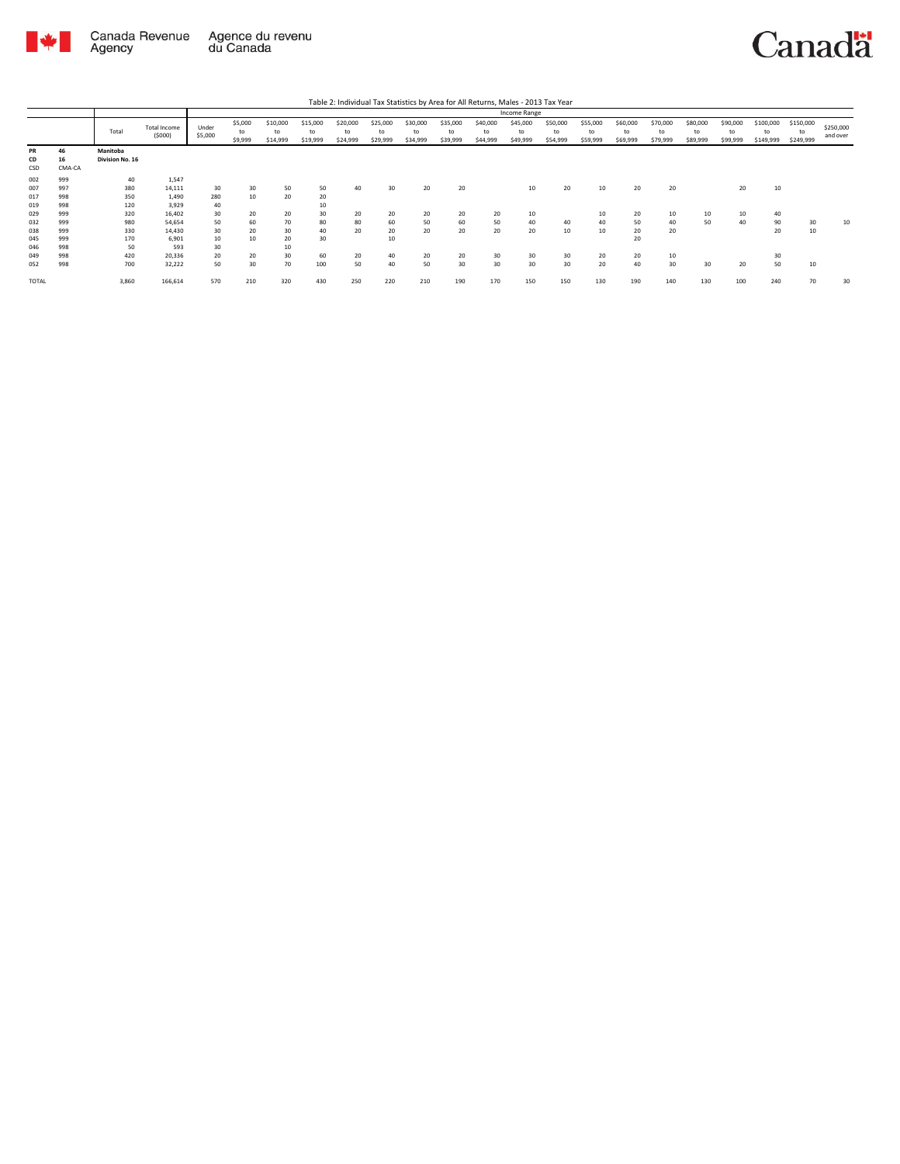

|                 |                    |                             |                               |                  |                          |                            |                            |                            |                            |                            |                            |                            | Income Range               |                            |                            |                            |                            |                            |                            |                              |                              |                       |
|-----------------|--------------------|-----------------------------|-------------------------------|------------------|--------------------------|----------------------------|----------------------------|----------------------------|----------------------------|----------------------------|----------------------------|----------------------------|----------------------------|----------------------------|----------------------------|----------------------------|----------------------------|----------------------------|----------------------------|------------------------------|------------------------------|-----------------------|
|                 |                    | Total                       | <b>Total Income</b><br>(5000) | Under<br>\$5,000 | \$5,000<br>to<br>\$9,999 | \$10,000<br>to<br>\$14,999 | \$15,000<br>to<br>\$19,999 | \$20,000<br>to<br>\$24,999 | \$25,000<br>to<br>\$29,999 | \$30,000<br>to<br>\$34,999 | \$35,000<br>to<br>\$39,999 | \$40,000<br>to<br>\$44,999 | \$45,000<br>to<br>\$49,999 | \$50,000<br>to<br>\$54,999 | \$55,000<br>to<br>\$59,999 | \$60,000<br>to<br>\$69,999 | \$70,000<br>to<br>\$79,999 | \$80,000<br>to<br>\$89,999 | \$90,000<br>to<br>\$99,999 | \$100,000<br>to<br>\$149,999 | \$150,000<br>to<br>\$249,999 | \$250,000<br>and over |
| PR<br>CD<br>CSD | 46<br>16<br>CMA-CA | Manitoba<br>Division No. 16 |                               |                  |                          |                            |                            |                            |                            |                            |                            |                            |                            |                            |                            |                            |                            |                            |                            |                              |                              |                       |
| 002             | 999                | 40                          | 1,547                         |                  |                          |                            |                            |                            |                            |                            |                            |                            |                            |                            |                            |                            |                            |                            |                            |                              |                              |                       |
| 007             | 997                | 380                         | 14,111                        | 30               | 30                       | 50                         | 50                         | 40                         | 30                         | 20                         | 20                         |                            | 10                         | 20                         | 10                         | 20                         | 20                         |                            | 20                         | 10                           |                              |                       |
| 017             | 998                | 350                         | 1,490                         | 280              | 10                       | 20                         | 20                         |                            |                            |                            |                            |                            |                            |                            |                            |                            |                            |                            |                            |                              |                              |                       |
| 019             | 998                | 120                         | 3,929                         | 40               |                          |                            | 10                         |                            |                            |                            |                            |                            |                            |                            |                            |                            |                            |                            |                            |                              |                              |                       |
| 029             | 999                | 320                         | 16,402                        | 30               | 20                       | 20                         | 30                         | 20                         | 20                         | 20                         | 20                         | 20                         | 10                         |                            | 10                         | 20                         | 10                         | 10                         | 10                         | 40                           |                              |                       |
| 032             | 999                | 980                         | 54,654                        | 50               | 60                       | 70                         | 80                         | 80                         | 60                         | 50                         | 60                         | 50                         | 40                         | 40                         | 40                         | 50                         | 40                         | 50                         | 40                         | 90                           | 30                           | 10                    |
| 038             | 999                | 330                         | 14,430                        | 30               | 20                       | 30                         | 40                         | 20                         | 20                         | 20                         | 20                         | 20                         | 20                         | 10                         | 10                         | 20                         | 20                         |                            |                            | 20                           | 10                           |                       |
| 045             | 999                | 170                         | 6.901                         | 10               | 10                       | 20                         | 30                         |                            | 10                         |                            |                            |                            |                            |                            |                            | 20                         |                            |                            |                            |                              |                              |                       |
| 046             | 998                | 50                          | 593                           | 30               |                          | 10                         |                            |                            |                            |                            |                            |                            |                            |                            |                            |                            |                            |                            |                            |                              |                              |                       |
| 049             | 998                | 420                         | 20,336                        | 20               | 20                       | 30                         | 60                         | 20                         | 40                         | 20                         | 20                         | 30                         | 30                         | 30                         | 20                         | 20                         | 10                         |                            |                            | 30                           |                              |                       |
| 052             | 998                | 700                         | 32,222                        | 50               | 30                       | 70                         | 100                        | 50                         | 40                         | 50                         | 30                         | 30                         | 30                         | 30                         | 20                         | 40                         | 30                         | 30                         | 20                         | 50                           | 10                           |                       |
| TOTAL           |                    | 3,860                       | 166,614                       | 570              | 210                      | 320                        | 430                        | 250                        | 220                        | 210                        | 190                        | 170                        | 150                        | 150                        | 130                        | 190                        | 140                        | 130                        | 100                        | 240                          | 70                           | 30                    |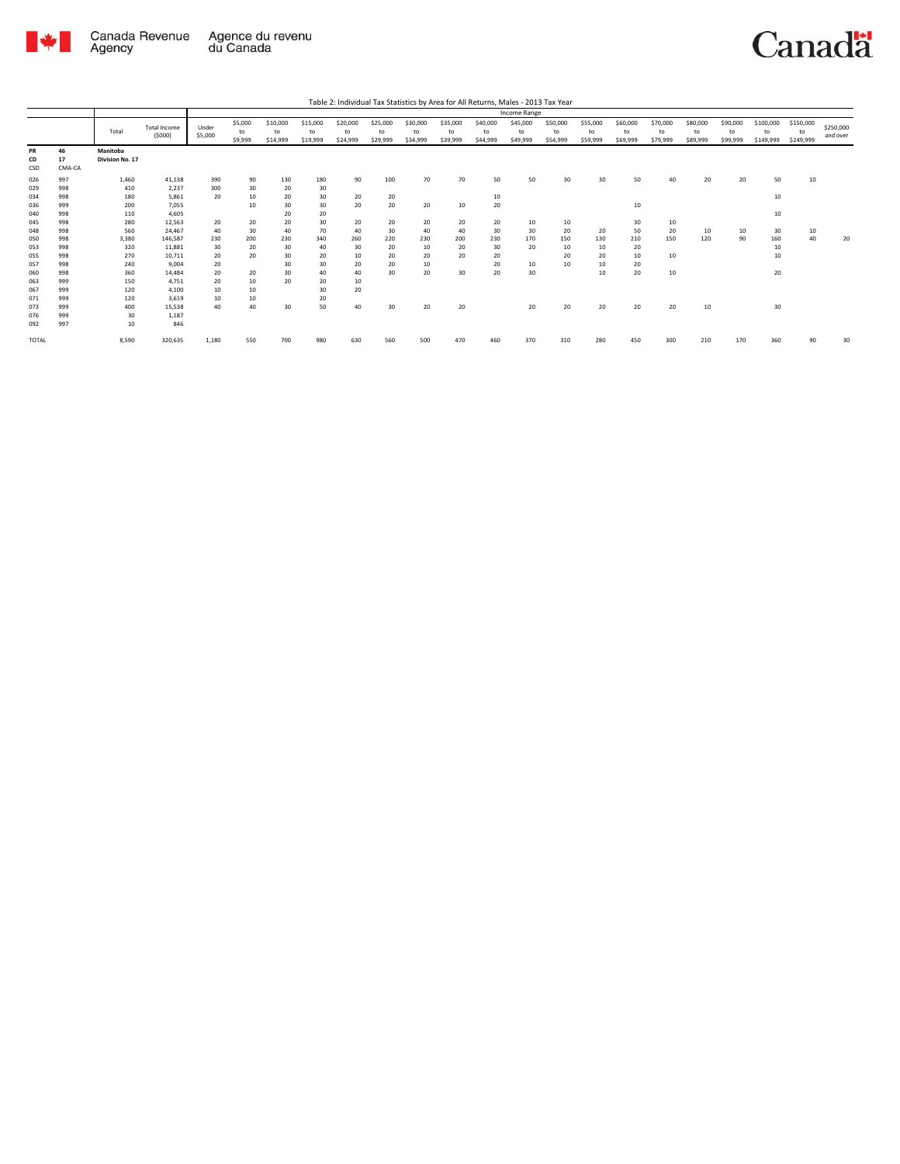

|                          |                          |                             |                                      |                      |                          |                            |                            |                            |                            |                            |                            |                            | Income Range               |                            |                            |                            |                            |                            |                            |                              |                              |                       |
|--------------------------|--------------------------|-----------------------------|--------------------------------------|----------------------|--------------------------|----------------------------|----------------------------|----------------------------|----------------------------|----------------------------|----------------------------|----------------------------|----------------------------|----------------------------|----------------------------|----------------------------|----------------------------|----------------------------|----------------------------|------------------------------|------------------------------|-----------------------|
|                          |                          | Total                       | <b>Total Income</b><br>(5000)        | Under<br>\$5,000     | \$5,000<br>to<br>\$9,999 | \$10,000<br>to<br>\$14,999 | \$15,000<br>to<br>\$19,999 | \$20,000<br>to<br>\$24,999 | \$25,000<br>to<br>\$29,999 | \$30,000<br>to<br>\$34,999 | \$35,000<br>to<br>\$39,999 | \$40,000<br>to<br>\$44,999 | \$45,000<br>to<br>\$49,999 | \$50,000<br>to<br>\$54,999 | \$55,000<br>to<br>\$59,999 | \$60,000<br>to<br>\$69,999 | \$70,000<br>to<br>\$79,999 | \$80,000<br>to<br>\$89,999 | \$90,000<br>to<br>\$99,999 | \$100,000<br>to<br>\$149,999 | \$150,000<br>to<br>\$249,999 | \$250,000<br>and over |
| PR<br>CD<br>CSD          | 46<br>17<br>CMA-CA       | Manitoba<br>Division No. 17 |                                      |                      |                          |                            |                            |                            |                            |                            |                            |                            |                            |                            |                            |                            |                            |                            |                            |                              |                              |                       |
| 026<br>029<br>034<br>036 | 997<br>998<br>998<br>999 | 1,460<br>410<br>180<br>200  | 41,138<br>2.237<br>5.861<br>7,055    | 390<br>300<br>20     | 90<br>30<br>10<br>10     | 130<br>20<br>20<br>30      | 180<br>30<br>30<br>30      | 90<br>20<br>20             | 100<br>20<br>20            | 70<br>20                   | 70<br>10                   | 50<br>10<br>20             | 50                         | 30                         | 30                         | 50<br>10                   | 40                         | 20                         | 20                         | 50<br>10                     | 10                           |                       |
| 040<br>045<br>048<br>050 | 998<br>998<br>998<br>998 | 110<br>280<br>560<br>3,380  | 4.605<br>12,563<br>24,467<br>146.587 | 20<br>40<br>230      | 20<br>30<br>200          | 20<br>20<br>40<br>230      | 20<br>30<br>70<br>340      | 20<br>40<br>260            | 20<br>30<br>220            | 20<br>40<br>230            | 20<br>40<br>200            | 20<br>30<br>230            | 10<br>30<br>170            | 10<br>20<br>150            | 20<br>130                  | 30<br>50<br>210            | 10<br>20<br>150            | 10<br>120                  | 10<br>90                   | 10<br>30<br>160              | 10<br>40                     | 20                    |
| 053<br>055<br>057        | 998<br>998<br>998        | 320<br>270<br>240           | 11,881<br>10,711<br>9.004            | 30<br>20<br>20       | 20<br>20                 | 30<br>30<br>30             | 40<br>20<br>30             | 30<br>10<br>20             | 20<br>20<br>20             | 10<br>20<br>10             | 20<br>20                   | 30<br>20<br>20             | 20<br>10                   | 10<br>20<br>10             | 10<br>20<br>10             | 20<br>10<br>20             | 10                         |                            |                            | 10<br>10                     |                              |                       |
| 060<br>063<br>067<br>071 | 998<br>999<br>999<br>999 | 360<br>150<br>120<br>120    | 14,484<br>4,751<br>4,100<br>3.619    | 20<br>20<br>10<br>10 | 20<br>10<br>10<br>10     | 30<br>20                   | 40<br>20<br>30<br>20       | 40<br>10<br>20             | 30                         | 20                         | 30                         | 20                         | 30                         |                            | 10                         | 20                         | 10                         |                            |                            | 20                           |                              |                       |
| 073<br>076<br>092        | 999<br>999<br>997        | 400<br>30<br>10             | 15,538<br>1,187<br>846               | 40                   | 40                       | 30                         | 50                         | 40                         | 30                         | 20                         | 20                         |                            | 20                         | 20                         | 20                         | 20                         | 20                         | 10                         |                            | 30                           |                              |                       |
| TOTAL                    |                          | 8,590                       | 320,635                              | 1,180                | 550                      | 700                        | 980                        | 630                        | 560                        | 500                        | 470                        | 460                        | 370                        | 310                        | 280                        | 450                        | 300                        | 210                        | 170                        | 360                          | 90                           | 30                    |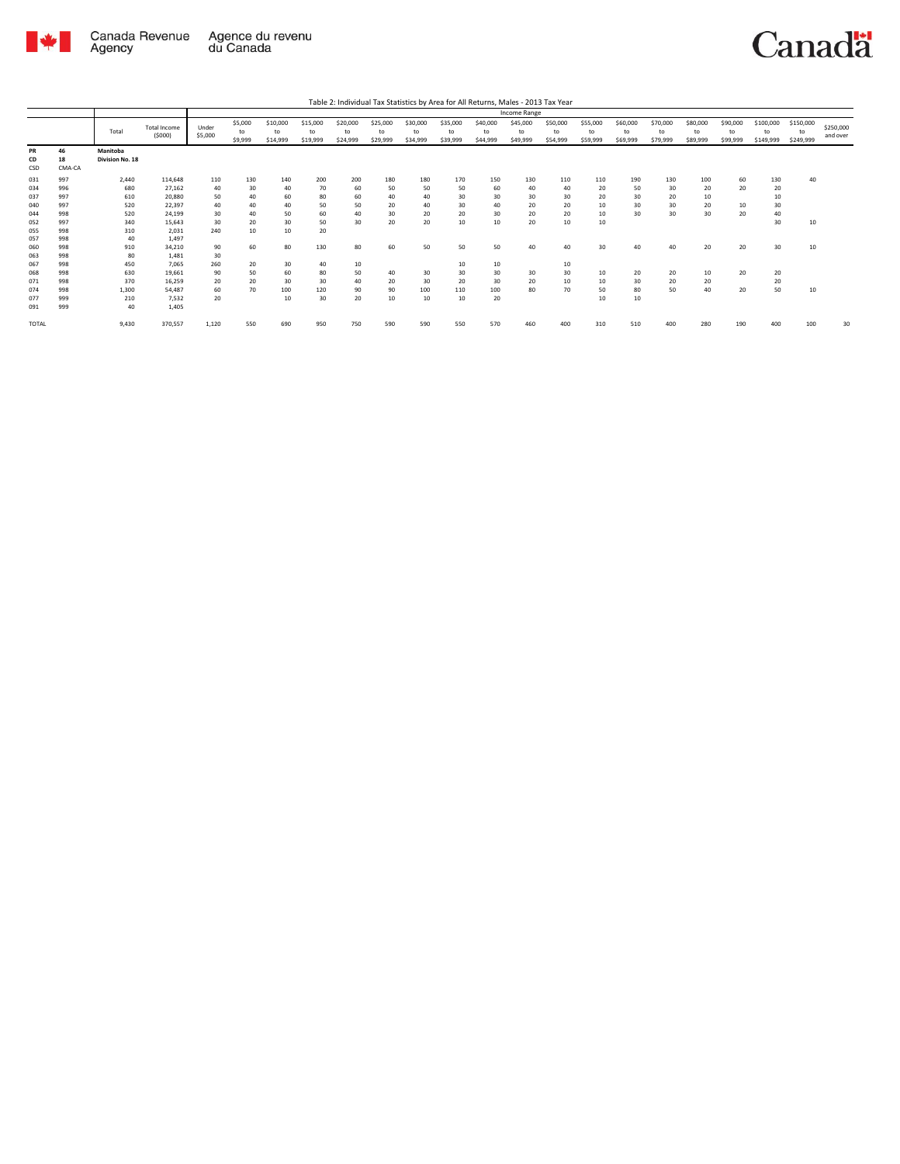

|                                   |                                 |                                   |                                                 |                             |                             |                             |                             |                             |                             |                             |                             |                             | Income Range                |                             |                             |                             |                             |                             |                            |                              |                              |                       |
|-----------------------------------|---------------------------------|-----------------------------------|-------------------------------------------------|-----------------------------|-----------------------------|-----------------------------|-----------------------------|-----------------------------|-----------------------------|-----------------------------|-----------------------------|-----------------------------|-----------------------------|-----------------------------|-----------------------------|-----------------------------|-----------------------------|-----------------------------|----------------------------|------------------------------|------------------------------|-----------------------|
|                                   |                                 | Total                             | <b>Total Income</b><br>(5000)                   | Under<br>\$5,000            | \$5,000<br>to<br>\$9,999    | \$10,000<br>to<br>\$14,999  | \$15,000<br>to<br>\$19,999  | \$20,000<br>to<br>\$24,999  | \$25,000<br>to<br>\$29,999  | \$30,000<br>to<br>\$34,999  | \$35,000<br>to<br>\$39,999  | \$40,000<br>to<br>\$44.999  | \$45,000<br>to<br>\$49,999  | \$50,000<br>to<br>\$54,999  | \$55,000<br>to<br>\$59,999  | \$60,000<br>to<br>\$69,999  | \$70,000<br>to<br>\$79,999  | \$80,000<br>to<br>\$89,999  | \$90,000<br>to<br>\$99,999 | \$100,000<br>to<br>\$149,999 | \$150,000<br>to<br>\$249,999 | \$250,000<br>and over |
| PR<br>CD<br>CSD                   | 46<br>18<br>CMA-CA              | Manitoba<br>Division No. 18       |                                                 |                             |                             |                             |                             |                             |                             |                             |                             |                             |                             |                             |                             |                             |                             |                             |                            |                              |                              |                       |
| 031<br>034<br>037<br>040<br>044   | 997<br>996<br>997<br>997<br>998 | 2.440<br>680<br>610<br>520<br>520 | 114,648<br>27,162<br>20,880<br>22,397<br>24.199 | 110<br>40<br>50<br>40<br>30 | 130<br>30<br>40<br>40<br>40 | 140<br>40<br>60<br>40<br>50 | 200<br>70<br>80<br>50<br>60 | 200<br>60<br>60<br>50<br>40 | 180<br>50<br>40<br>20<br>30 | 180<br>50<br>40<br>40<br>20 | 170<br>50<br>30<br>30<br>20 | 150<br>60<br>30<br>40<br>30 | 130<br>40<br>30<br>20<br>20 | 110<br>40<br>30<br>20<br>20 | 110<br>20<br>20<br>10<br>10 | 190<br>50<br>30<br>30<br>30 | 130<br>30<br>20<br>30<br>30 | 100<br>20<br>10<br>20<br>30 | 60<br>20<br>10<br>20       | 130<br>20<br>10<br>30<br>40  | 40                           |                       |
| 052<br>055<br>057                 | 997<br>998<br>998               | 340<br>310<br>40                  | 15.643<br>2,031<br>1.497                        | 30<br>240                   | 20<br>10                    | 30<br>10                    | 50<br>20                    | 30                          | 20                          | 20                          | 10                          | 10                          | 20                          | 10                          | 10                          |                             |                             |                             |                            | 30                           | 10                           |                       |
| 060<br>063<br>067<br>068<br>071   | 998<br>998<br>998<br>998<br>998 | 910<br>80<br>450<br>630<br>370    | 34,210<br>1.481<br>7.065<br>19.661<br>16,259    | 90<br>30<br>260<br>90<br>20 | 60<br>20<br>50<br>20        | 80<br>30<br>60<br>30        | 130<br>40<br>80<br>30       | 80<br>10<br>50<br>40        | 60<br>40<br>20              | 50<br>30<br>30              | 50<br>10<br>30<br>20        | 50<br>10<br>30<br>30        | 40<br>30<br>20              | 40<br>10<br>30<br>10        | 30<br>10<br>10              | 20<br>30                    | 40<br>20<br>20              | 20<br>10<br>20              | 20<br>20                   | 30<br>20<br>20               | 10                           |                       |
| 074<br>077<br>091<br><b>TOTAL</b> | 998<br>999<br>999               | 1.300<br>210<br>40<br>9.430       | 54.487<br>7.532<br>1,405<br>370,557             | 60<br>20<br>1,120           | 70<br>550                   | 100<br>10<br>690            | 120<br>30<br>950            | 90<br>20<br>750             | 90<br>10<br>590             | 100<br>10<br>590            | 110<br>10<br>550            | 100<br>20<br>570            | 80<br>460                   | 70<br>400                   | 50<br>10<br>310             | 80<br>10<br>510             | 50<br>400                   | 40<br>280                   | 20<br>190                  | 50<br>400                    | 10<br>100                    | 30                    |
|                                   |                                 |                                   |                                                 |                             |                             |                             |                             |                             |                             |                             |                             |                             |                             |                             |                             |                             |                             |                             |                            |                              |                              |                       |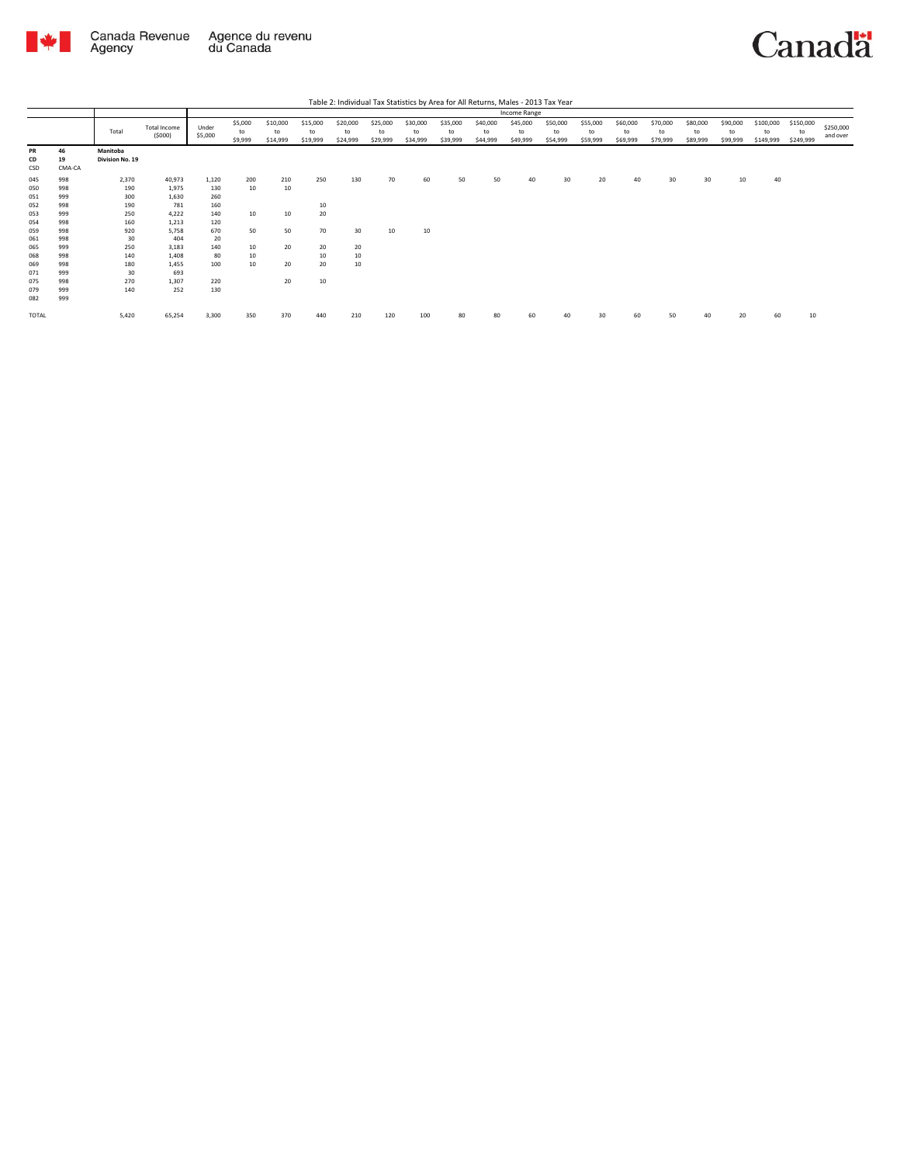

|                 |                    |                             |                        |                  |                          |                            |                            |                            |                            | Table 2. Individual Tax Statistics by Alea for All Neturns, Males - 2015 Tax Teal |                            |                            |                            |                            |                            |                            |                            |                            |                            |                              |                              |                       |
|-----------------|--------------------|-----------------------------|------------------------|------------------|--------------------------|----------------------------|----------------------------|----------------------------|----------------------------|-----------------------------------------------------------------------------------|----------------------------|----------------------------|----------------------------|----------------------------|----------------------------|----------------------------|----------------------------|----------------------------|----------------------------|------------------------------|------------------------------|-----------------------|
|                 |                    |                             |                        |                  |                          |                            |                            |                            |                            |                                                                                   |                            |                            | Income Range               |                            |                            |                            |                            |                            |                            |                              |                              |                       |
|                 |                    | Total                       | Total Income<br>(5000) | Under<br>\$5,000 | \$5,000<br>to<br>\$9,999 | \$10,000<br>to<br>\$14,999 | \$15,000<br>to<br>\$19,999 | \$20,000<br>to<br>\$24,999 | \$25,000<br>to<br>\$29,999 | \$30,000<br>to<br>\$34,999                                                        | \$35,000<br>to<br>\$39,999 | \$40,000<br>to<br>\$44,999 | \$45,000<br>to<br>\$49,999 | \$50,000<br>to<br>\$54,999 | \$55,000<br>to<br>\$59,999 | \$60,000<br>to<br>\$69,999 | \$70,000<br>to<br>\$79,999 | \$80,000<br>to<br>\$89,999 | \$90,000<br>to<br>\$99,999 | \$100,000<br>to<br>\$149,999 | \$150,000<br>to<br>\$249,999 | \$250,000<br>and over |
| PR<br>CD<br>CSD | 46<br>19<br>CMA-CA | Manitoba<br>Division No. 19 |                        |                  |                          |                            |                            |                            |                            |                                                                                   |                            |                            |                            |                            |                            |                            |                            |                            |                            |                              |                              |                       |
| 045             | 998                | 2,370                       | 40,973                 | 1,120            | 200                      | 210                        | 250                        | 130                        | 70                         | 60                                                                                | 50                         | 50                         | 40                         | 30                         | 20                         | 40                         | 30                         | 30                         | 10                         | 40                           |                              |                       |
| 050             | 998                | 190                         | 1,975                  | 130              | 10                       | 10                         |                            |                            |                            |                                                                                   |                            |                            |                            |                            |                            |                            |                            |                            |                            |                              |                              |                       |
| 051             | 999                | 300                         | 1,630                  | 260              |                          |                            |                            |                            |                            |                                                                                   |                            |                            |                            |                            |                            |                            |                            |                            |                            |                              |                              |                       |
| 052             | 998                | 190                         | 781                    | 160              |                          |                            | 10                         |                            |                            |                                                                                   |                            |                            |                            |                            |                            |                            |                            |                            |                            |                              |                              |                       |
| 053             | 999                | 250                         | 4,222                  | 140              | 10                       | 10                         | 20                         |                            |                            |                                                                                   |                            |                            |                            |                            |                            |                            |                            |                            |                            |                              |                              |                       |
| 054             | 998                | 160                         | 1,213                  | 120              |                          |                            |                            |                            |                            |                                                                                   |                            |                            |                            |                            |                            |                            |                            |                            |                            |                              |                              |                       |
| 059             | 998                | 920                         | 5,758                  | 670              | 50                       | 50                         | 70                         | 30                         | 10                         | 10                                                                                |                            |                            |                            |                            |                            |                            |                            |                            |                            |                              |                              |                       |
| 061             | 998                | 30                          | 404                    | 20               |                          |                            |                            |                            |                            |                                                                                   |                            |                            |                            |                            |                            |                            |                            |                            |                            |                              |                              |                       |
| 065             | 999                | 250                         | 3,183                  | 140              | 10                       | 20                         | 20                         | 20                         |                            |                                                                                   |                            |                            |                            |                            |                            |                            |                            |                            |                            |                              |                              |                       |
| 068             | 998                | 140                         | 1,408                  | 80               | $10\,$                   |                            | 10                         | 10                         |                            |                                                                                   |                            |                            |                            |                            |                            |                            |                            |                            |                            |                              |                              |                       |
| 069             | 998                | 180                         | 1,455                  | 100              | 10                       | 20                         | 20                         | 10                         |                            |                                                                                   |                            |                            |                            |                            |                            |                            |                            |                            |                            |                              |                              |                       |
| 071             | 999                | 30                          | 693                    |                  |                          |                            |                            |                            |                            |                                                                                   |                            |                            |                            |                            |                            |                            |                            |                            |                            |                              |                              |                       |
| 075             | 998                | 270                         | 1,307                  | 220              |                          | 20                         | 10                         |                            |                            |                                                                                   |                            |                            |                            |                            |                            |                            |                            |                            |                            |                              |                              |                       |
| 079             | 999                | 140                         | 252                    | 130              |                          |                            |                            |                            |                            |                                                                                   |                            |                            |                            |                            |                            |                            |                            |                            |                            |                              |                              |                       |
| 082             | 999                |                             |                        |                  |                          |                            |                            |                            |                            |                                                                                   |                            |                            |                            |                            |                            |                            |                            |                            |                            |                              |                              |                       |
| TOTAL           |                    | 5,420                       | 65,254                 | 3,300            | 350                      | 370                        | 440                        | 210                        | 120                        | 100                                                                               | 80                         | 80                         | 60                         | 40                         | 30                         | 60                         | 50                         | 40                         | 20                         | 60                           | 10                           |                       |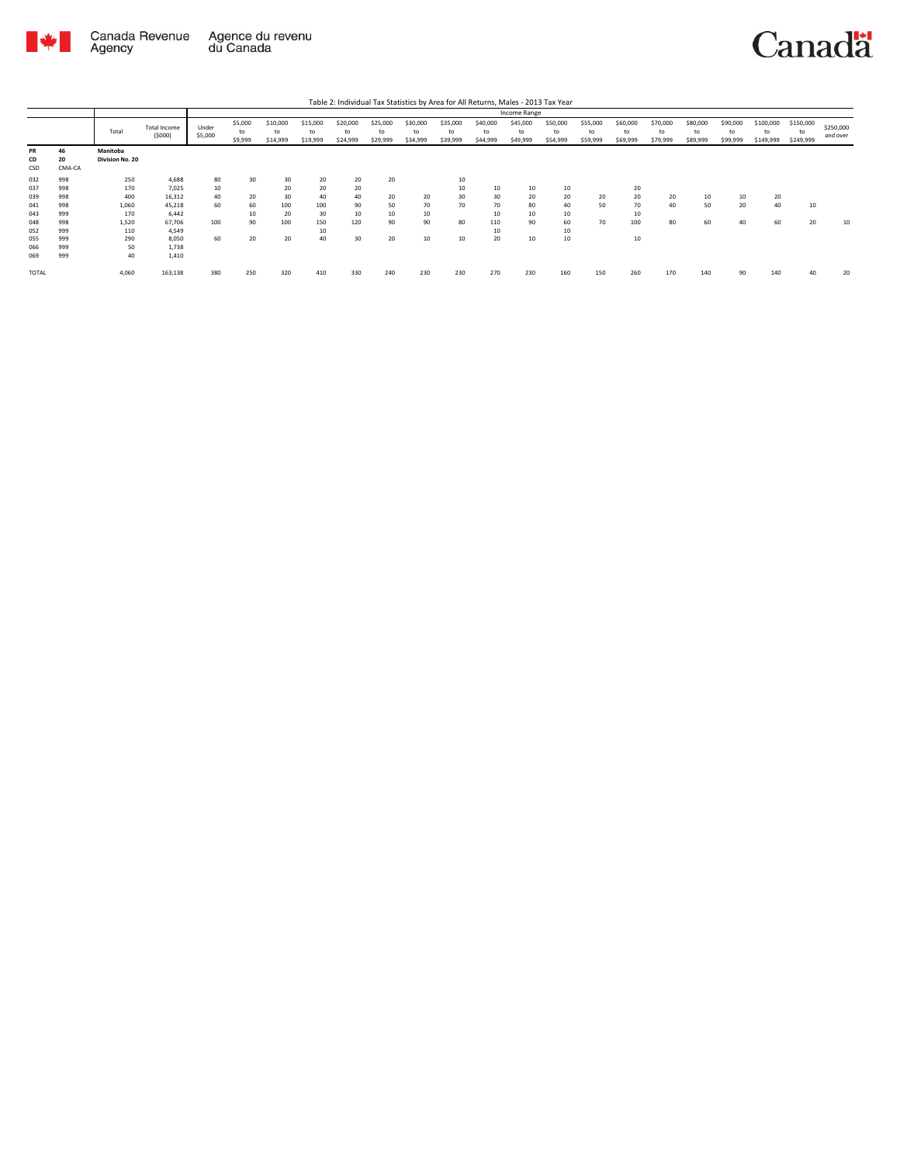

|                        |                    |                             |                               |                  |                          |                            |                            |                            |                            |                            |                            |                            | Income Range               |                            |                            |                            |                            |                            |                            |                              |                              |                       |
|------------------------|--------------------|-----------------------------|-------------------------------|------------------|--------------------------|----------------------------|----------------------------|----------------------------|----------------------------|----------------------------|----------------------------|----------------------------|----------------------------|----------------------------|----------------------------|----------------------------|----------------------------|----------------------------|----------------------------|------------------------------|------------------------------|-----------------------|
|                        |                    | Total                       | <b>Total Income</b><br>(5000) | Under<br>\$5,000 | \$5,000<br>to<br>\$9,999 | \$10,000<br>to<br>\$14,999 | \$15,000<br>to<br>\$19,999 | \$20,000<br>to<br>\$24,999 | \$25,000<br>to<br>\$29,999 | \$30,000<br>to<br>\$34,999 | \$35,000<br>to<br>\$39,999 | \$40,000<br>to<br>\$44,999 | \$45,000<br>to<br>\$49,999 | \$50,000<br>to<br>\$54,999 | \$55,000<br>to<br>\$59,999 | \$60,000<br>to<br>\$69,999 | \$70,000<br>to<br>\$79,999 | \$80,000<br>to<br>\$89,999 | \$90,000<br>to<br>\$99,999 | \$100,000<br>to<br>\$149,999 | \$150,000<br>to<br>\$249,999 | \$250,000<br>and over |
| <b>PR</b><br>CD<br>CSD | 46<br>20<br>CMA-CA | Manitoba<br>Division No. 20 |                               |                  |                          |                            |                            |                            |                            |                            |                            |                            |                            |                            |                            |                            |                            |                            |                            |                              |                              |                       |
| 032                    | 998                | 250                         | 4,688                         | 80               | 30                       | 30                         | 20                         | 20                         | 20                         |                            | 10                         |                            |                            |                            |                            |                            |                            |                            |                            |                              |                              |                       |
| 037                    | 998                | 170                         | 7,025                         | 10               |                          | 20                         | 20                         | 20                         |                            |                            | 10                         | 10                         | 10                         | 10                         |                            | 20                         |                            |                            |                            |                              |                              |                       |
| 039                    | 998                | 400                         | 16,312                        | 40               | 20                       | 30                         | 40                         | 40                         | 20                         | 20                         | 30                         | 30                         | 20                         | 20                         | 20                         | 20                         | 20                         | 10                         | 10                         | 20                           |                              |                       |
| 041                    | 998                | 1,060                       | 45,218                        | 60               | 60                       | 100                        | 100                        | 90                         | 50                         | 70                         | 70                         | 70                         | 80                         | 40                         | 50                         | 70                         | 40                         | 50                         | 20                         | 40                           | 10                           |                       |
| 043                    | 999                | 170                         | 6,442                         |                  | 10                       | 20                         | 30                         | 10                         | 10                         | 10                         |                            | 10                         | 10                         | 10                         |                            |                            |                            |                            |                            |                              |                              |                       |
| 048                    | 998                | 1.520                       | 67.706                        | 100              | 90                       | 100                        | 150                        | 120                        | 90                         | 90                         | 80                         | 110                        | 90                         | 60                         | 70                         | 100                        | 80                         | 60                         | 40                         | 60                           | 20                           | 10                    |
| 052                    | 999                | 110                         | 4,549                         |                  |                          |                            | 10                         |                            |                            |                            |                            | 10                         |                            | 10                         |                            |                            |                            |                            |                            |                              |                              |                       |
| 055                    | 999                | 290                         | 8,050                         | 60               | 20                       | 20                         | 40                         | 30                         | 20                         | 10                         | 10                         | 20                         | 10                         | 10                         |                            | 10                         |                            |                            |                            |                              |                              |                       |
| 066                    | 999                | 50                          | 1,738                         |                  |                          |                            |                            |                            |                            |                            |                            |                            |                            |                            |                            |                            |                            |                            |                            |                              |                              |                       |
| 069                    | 999                | 40                          | 1,410                         |                  |                          |                            |                            |                            |                            |                            |                            |                            |                            |                            |                            |                            |                            |                            |                            |                              |                              |                       |
| <b>TOTAL</b>           |                    | 4,060                       | 163,138                       | 380              | 250                      | 320                        | 410                        | 330                        | 240                        | 230                        | 230                        | 270                        | 230                        | 160                        | 150                        | 260                        | 170                        | 140                        | 90                         | 140                          | 40                           | 20                    |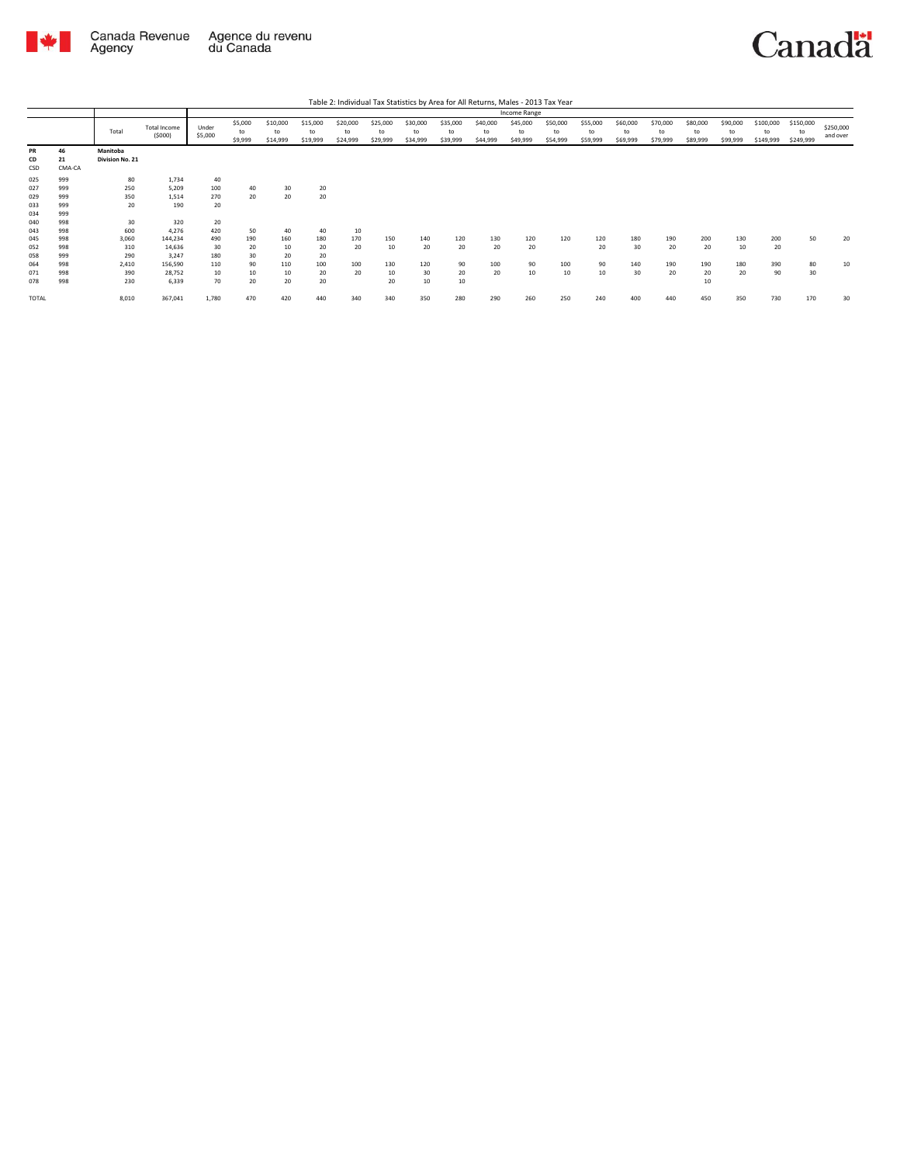

|                 |                    |                             |                               |                  |                          |                            |                            |                            |                            |                            |                            |                            | Income Range               |                            |                            |                            |                            |                            |                            |                              |                              |                       |
|-----------------|--------------------|-----------------------------|-------------------------------|------------------|--------------------------|----------------------------|----------------------------|----------------------------|----------------------------|----------------------------|----------------------------|----------------------------|----------------------------|----------------------------|----------------------------|----------------------------|----------------------------|----------------------------|----------------------------|------------------------------|------------------------------|-----------------------|
|                 |                    | Total                       | <b>Total Income</b><br>(5000) | Under<br>\$5,000 | \$5,000<br>to<br>\$9,999 | \$10,000<br>to<br>\$14,999 | \$15,000<br>to<br>\$19,999 | \$20,000<br>to<br>\$24,999 | \$25,000<br>to<br>\$29,999 | \$30,000<br>to<br>\$34,999 | \$35,000<br>to<br>\$39,999 | \$40,000<br>to<br>\$44,999 | \$45,000<br>to<br>\$49,999 | \$50,000<br>to<br>\$54,999 | \$55,000<br>to<br>\$59,999 | \$60,000<br>to<br>\$69,999 | \$70,000<br>to<br>\$79,999 | \$80,000<br>to<br>\$89,999 | \$90,000<br>to<br>\$99,999 | \$100,000<br>to<br>\$149,999 | \$150,000<br>to<br>\$249,999 | \$250,000<br>and over |
| PR<br>CD<br>CSD | 46<br>21<br>CMA-CA | Manitoba<br>Division No. 21 |                               |                  |                          |                            |                            |                            |                            |                            |                            |                            |                            |                            |                            |                            |                            |                            |                            |                              |                              |                       |
| 025             | 999                | 80                          | 1,734                         | 40               |                          |                            |                            |                            |                            |                            |                            |                            |                            |                            |                            |                            |                            |                            |                            |                              |                              |                       |
| 027             | 999                | 250                         | 5,209                         | 100              | 40                       | 30                         | 20                         |                            |                            |                            |                            |                            |                            |                            |                            |                            |                            |                            |                            |                              |                              |                       |
| 029             | 999                | 350                         | 1,514                         | 270              | 20                       | 20                         | 20                         |                            |                            |                            |                            |                            |                            |                            |                            |                            |                            |                            |                            |                              |                              |                       |
| 033             | 999                | 20                          | 190                           | 20               |                          |                            |                            |                            |                            |                            |                            |                            |                            |                            |                            |                            |                            |                            |                            |                              |                              |                       |
| 034             | 999                |                             |                               |                  |                          |                            |                            |                            |                            |                            |                            |                            |                            |                            |                            |                            |                            |                            |                            |                              |                              |                       |
| 040             | 998                | 30                          | 320                           | 20               |                          |                            |                            |                            |                            |                            |                            |                            |                            |                            |                            |                            |                            |                            |                            |                              |                              |                       |
| 043             | 998                | 600                         | 4,276                         | 420              | 50                       | 40                         | 40                         | 10                         |                            |                            |                            |                            |                            |                            |                            |                            |                            |                            |                            |                              |                              |                       |
| 045             | 998                | 3.060                       | 144.234                       | 490              | 190                      | 160                        | 180                        | 170                        | 150                        | 140                        | 120                        | 130                        | 120                        | 120                        | 120                        | 180                        | 190                        | 200                        | 130                        | 200                          | 50                           | 20                    |
| 052             | 998                | 310                         | 14,636                        | 30               | 20                       | 10                         | 20                         | 20                         | 10                         | 20                         | 20                         | 20                         | 20                         |                            | 20                         | 30                         | 20                         | 20                         | 10                         | 20                           |                              |                       |
| 058             | 999                | 290                         | 3,247                         | 180              | 30                       | 20                         | 20                         |                            |                            |                            |                            |                            |                            |                            |                            |                            |                            |                            |                            |                              |                              |                       |
| 064             | 998                | 2,410                       | 156,590                       | 110              | 90                       | 110                        | 100                        | 100                        | 130                        | 120                        | 90                         | 100                        | 90                         | 100                        | 90                         | 140                        | 190                        | 190                        | 180                        | 390                          | 80                           | 10                    |
| 071             | 998                | 390                         | 28,752                        | 10               | 10                       | 10                         | 20                         | 20                         | 10                         | 30                         | 20                         | 20                         | 10                         | 10                         | 10                         | 30                         | 20                         | 20                         | 20                         | 90                           | 30                           |                       |
| 078             | 998                | 230                         | 6,339                         | 70               | 20                       | 20                         | 20                         |                            | 20                         | 10                         | 10                         |                            |                            |                            |                            |                            |                            | 10                         |                            |                              |                              |                       |
| TOTAL           |                    | 8,010                       | 367,041                       | 1,780            | 470                      | 420                        | 440                        | 340                        | 340                        | 350                        | 280                        | 290                        | 260                        | 250                        | 240                        | 400                        | 440                        | 450                        | 350                        | 730                          | 170                          | 30                    |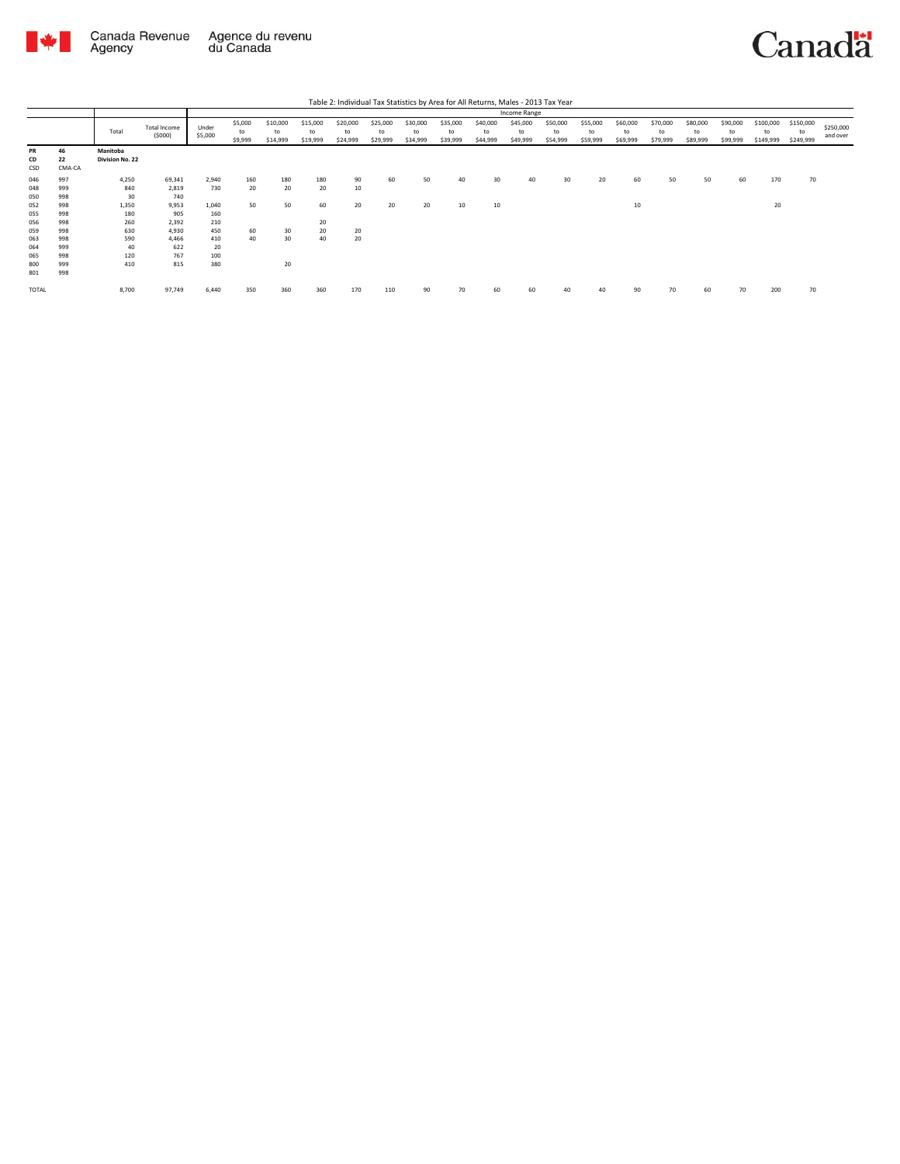



|                 |                    |                             |                               |                  |                          |                            |                            |                            |                            |                            |                            |                            | Income Range               |                            |                            |                            |                            |                            |                            |                              |                              |                       |
|-----------------|--------------------|-----------------------------|-------------------------------|------------------|--------------------------|----------------------------|----------------------------|----------------------------|----------------------------|----------------------------|----------------------------|----------------------------|----------------------------|----------------------------|----------------------------|----------------------------|----------------------------|----------------------------|----------------------------|------------------------------|------------------------------|-----------------------|
|                 |                    | Total                       | <b>Total Income</b><br>(5000) | Under<br>\$5,000 | \$5,000<br>to<br>\$9,999 | \$10,000<br>to<br>\$14,999 | \$15,000<br>to<br>\$19,999 | \$20,000<br>to<br>\$24,999 | \$25,000<br>to<br>\$29,999 | \$30,000<br>to<br>\$34,999 | \$35,000<br>to<br>\$39,999 | \$40,000<br>to<br>\$44,999 | \$45,000<br>to<br>\$49,999 | \$50,000<br>to<br>\$54,999 | \$55,000<br>to<br>\$59,999 | \$60,000<br>to<br>\$69,999 | \$70,000<br>to<br>\$79,999 | \$80,000<br>to<br>\$89,999 | \$90,000<br>to<br>\$99,999 | \$100,000<br>to<br>\$149,999 | \$150,000<br>to<br>\$249,999 | \$250,000<br>and over |
| PR<br>CD<br>CSD | 46<br>22<br>CMA-CA | Manitoba<br>Division No. 22 |                               |                  |                          |                            |                            |                            |                            |                            |                            |                            |                            |                            |                            |                            |                            |                            |                            |                              |                              |                       |
| 046             | 997                | 4,250                       | 69,341                        | 2,940            | 160                      | 180                        | 180                        | 90                         | 60                         | 50                         | 40                         | 30                         | 40                         | 30                         | 20                         | 60                         | 50                         | 50                         | 60                         | 170                          | 70                           |                       |
| 048             | 999                | 840                         | 2,819                         | 730              | 20                       | 20                         | 20                         | 10                         |                            |                            |                            |                            |                            |                            |                            |                            |                            |                            |                            |                              |                              |                       |
| 050             | 998                | 30                          | 740                           |                  |                          |                            |                            |                            |                            |                            |                            |                            |                            |                            |                            |                            |                            |                            |                            |                              |                              |                       |
| 052             | 998                | 1,350                       | 9,953                         | 1,040            | 50                       | 50                         | 60                         | 20                         | 20                         | 20                         | 10                         | 10                         |                            |                            |                            | 10                         |                            |                            |                            | 20                           |                              |                       |
| 055             | 998                | 180                         | 905                           | 160              |                          |                            |                            |                            |                            |                            |                            |                            |                            |                            |                            |                            |                            |                            |                            |                              |                              |                       |
| 056             | 998                | 260                         | 2,392                         | 210              |                          |                            | 20                         |                            |                            |                            |                            |                            |                            |                            |                            |                            |                            |                            |                            |                              |                              |                       |
| 059             | 998                | 630                         | 4,930                         | 450              | 60                       | 30                         | 20                         | 20                         |                            |                            |                            |                            |                            |                            |                            |                            |                            |                            |                            |                              |                              |                       |
| 063             | 998                | 590                         | 4,466                         | 410              | 40                       | 30                         | 40                         | 20                         |                            |                            |                            |                            |                            |                            |                            |                            |                            |                            |                            |                              |                              |                       |
| 064             | 999                | 40                          | 622                           | 20               |                          |                            |                            |                            |                            |                            |                            |                            |                            |                            |                            |                            |                            |                            |                            |                              |                              |                       |
| 065             | 998                | 120                         | 767                           | 100              |                          |                            |                            |                            |                            |                            |                            |                            |                            |                            |                            |                            |                            |                            |                            |                              |                              |                       |
| 800             | 999                | 410                         | 815                           | 380              |                          | 20                         |                            |                            |                            |                            |                            |                            |                            |                            |                            |                            |                            |                            |                            |                              |                              |                       |
| 801             | 998                |                             |                               |                  |                          |                            |                            |                            |                            |                            |                            |                            |                            |                            |                            |                            |                            |                            |                            |                              |                              |                       |
| TOTAL           |                    | 8,700                       | 97,749                        | 6,440            | 350                      | 360                        | 360                        | 170                        | 110                        | 90                         | 70                         | 60                         | 60                         | 40                         | 40                         | 90                         | 70                         | 60                         | 70                         | 200                          | 70                           |                       |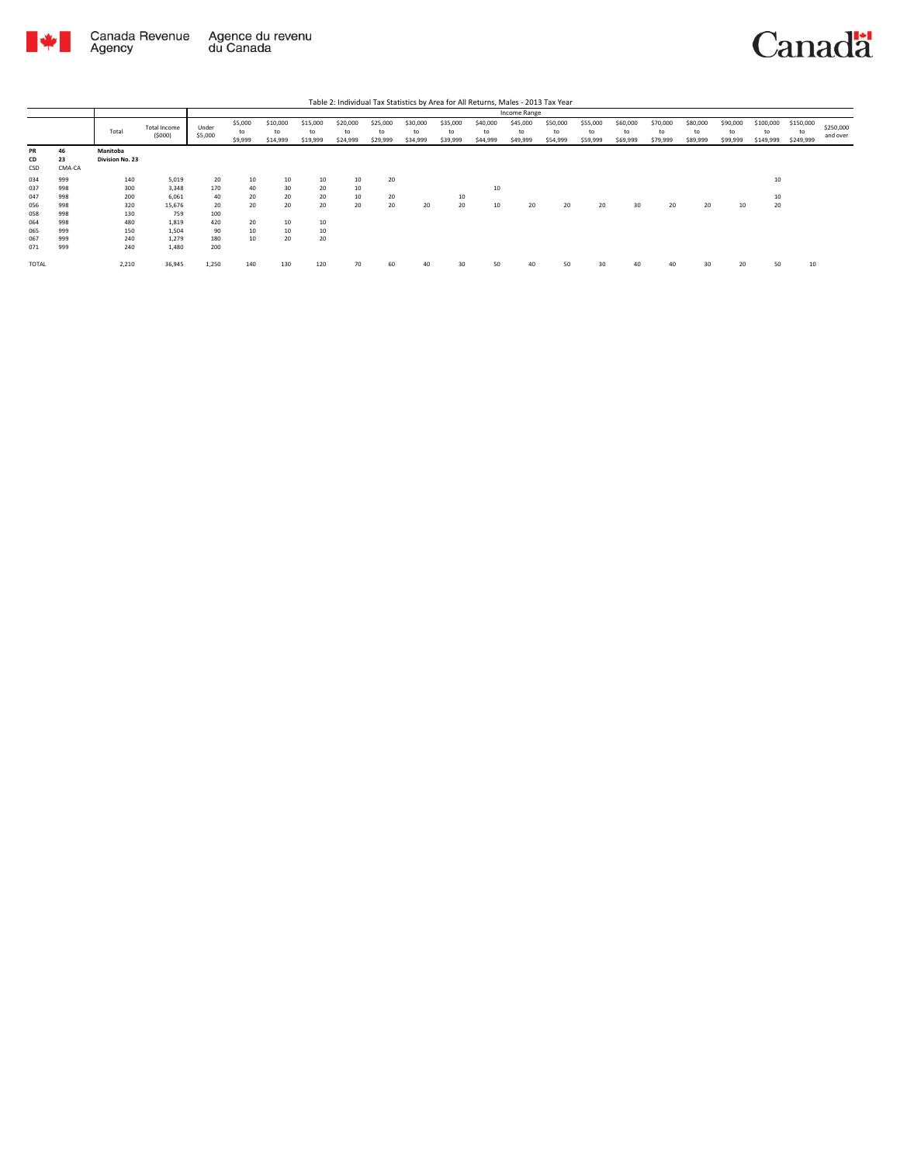

|                 |                    |                             |                        | Income Range     |                          |                            |                            |                            |                            |                            |                            |                            |                            |                            |                            |                            |                            |                            |                            |                              |                              |                       |
|-----------------|--------------------|-----------------------------|------------------------|------------------|--------------------------|----------------------------|----------------------------|----------------------------|----------------------------|----------------------------|----------------------------|----------------------------|----------------------------|----------------------------|----------------------------|----------------------------|----------------------------|----------------------------|----------------------------|------------------------------|------------------------------|-----------------------|
|                 |                    | Total                       | Total Income<br>(5000) | Under<br>\$5,000 | \$5,000<br>to<br>\$9,999 | \$10,000<br>to<br>\$14,999 | \$15,000<br>to<br>\$19,999 | \$20,000<br>to<br>\$24,999 | \$25,000<br>to<br>\$29,999 | \$30,000<br>to<br>\$34,999 | \$35,000<br>to<br>\$39,999 | \$40,000<br>to<br>\$44,999 | \$45,000<br>to<br>\$49,999 | \$50,000<br>to<br>\$54,999 | \$55,000<br>to<br>\$59,999 | \$60,000<br>to<br>\$69,999 | \$70,000<br>to<br>\$79,999 | \$80,000<br>to<br>\$89,999 | \$90,000<br>to<br>\$99,999 | \$100,000<br>to<br>\$149,999 | \$150,000<br>to<br>\$249,999 | \$250,000<br>and over |
| PR<br>CD<br>CSD | 46<br>23<br>CMA-CA | Manitoba<br>Division No. 23 |                        |                  |                          |                            |                            |                            |                            |                            |                            |                            |                            |                            |                            |                            |                            |                            |                            |                              |                              |                       |
| 034             | 999                | 140                         | 5,019                  | 20               | 10                       | 10                         | 10                         | 10                         | 20                         |                            |                            |                            |                            |                            |                            |                            |                            |                            |                            | 10                           |                              |                       |
| 037             | 998                | 300                         | 3,348                  | 170              | 40                       | 30                         | 20                         | 10                         |                            |                            |                            | 10                         |                            |                            |                            |                            |                            |                            |                            |                              |                              |                       |
| 047             | 998                | 200                         | 6,061                  | 40               | 20                       | 20                         | 20                         | 10                         | 20                         |                            | 10                         |                            |                            |                            |                            |                            |                            |                            |                            | 10                           |                              |                       |
| 056             | 998                | 320                         | 15,676                 | 20               | 20                       | 20                         | 20                         | 20                         | 20                         | 20                         | 20                         | 10                         | 20                         | 20                         | 20                         | 30                         | 20                         | 20                         | 10                         | 20                           |                              |                       |
| 058             | 998                | 130                         | 759                    | 100              |                          |                            |                            |                            |                            |                            |                            |                            |                            |                            |                            |                            |                            |                            |                            |                              |                              |                       |
| 064             | 998                | 480                         | 1,819                  | 420              | 20                       | 10                         | 10                         |                            |                            |                            |                            |                            |                            |                            |                            |                            |                            |                            |                            |                              |                              |                       |
| 065             | 999                | 150                         | 1.504                  | 90               | 10                       | 10                         | 10                         |                            |                            |                            |                            |                            |                            |                            |                            |                            |                            |                            |                            |                              |                              |                       |
| 067             | 999                | 240                         | 1.279                  | 180              | 10                       | 20                         | 20                         |                            |                            |                            |                            |                            |                            |                            |                            |                            |                            |                            |                            |                              |                              |                       |
| 071             | 999                | 240                         | 1,480                  | 200              |                          |                            |                            |                            |                            |                            |                            |                            |                            |                            |                            |                            |                            |                            |                            |                              |                              |                       |
| TOTAL           |                    | 2,210                       | 36,945                 | 1,250            | 140                      | 130                        | 120                        | 70                         | 60                         | 40                         | 30                         | 50                         | 40                         | 50                         | 30                         | 40                         | 40                         | 30                         | 20                         | 50                           | 10                           |                       |